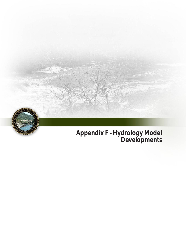

# **Developments**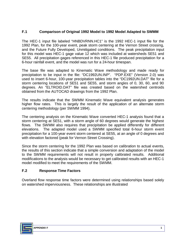## **F.1 Comparison of Original 1992 Model to 1992 Model Adapted to SWMM**

 The HEC-1 input file labeled "HNBDVRNN.HC1" is the 1992 HEC-1 input file for the 1992 Plan, for the 100-year event, peak storm centering at the Vernon Street crossing, and the Future Fully Developed, Unmitigated conditions. The peak precipitation input for this model was HEC-1 gage value 12 which was included at watersheds SE51 and SE55. All precipitation gages referenced in this HEC-1 file produced precipitation for a 6-hour rainfall event, and the model was run for a 24-hour timespan.

 The base file was adapted to Kinematic Wave methodology and made ready for precipitation to be input in the file: "DC1992UN.INP". "PDP.EXE" (Version 2.0) was used to insert 6-hour, 100-year precipitation tables into the "DC1992UN.DAT" file for a storm centering locations of SE51 and SE55, and storm angles of 0, 30, 60, and 90 degrees. An "ELTROID.DAT" file was created based on the watershed centroids obtained from the AUTOCAD drawings from the 1992 Plan.

 The results indicate that the SWMM Kinematic Wave equivalent analysis generates higher flow rates. This is largely the result of the application of an alternate storm centering methodology (per SWMM 1994).

 The centering analysis on the Kinematic Wave converted HEC-1 analysis found that a storm centering at SE51, with a storm angle of 60 degrees would generate the highest flows. The SWMM also requires that precipitation be applied differently for different elevations. The adapted model used a SWMM specified total 6-hour storm event precipitation for a 100-year event storm centered at SE55, at an angle of 0 degrees and with elevation factored (peak for Vernon Street Crossing).

 Since the storm centering for the 1992 Plan was based on calibration to actual events, the results of this section indicate that a simple conversion and adaptation of the model to the SWMM requirements will not result in properly calibrated results. Additional modifications to the analysis would be necessary to get calibrated results with an HEC-1 model modified to meet the requirements of the SWMM.

## **F.2 Response Time Factors**

 Overland flow response time factors were determined using relationships based solely on watershed imperviousness. These relationships are illustrated

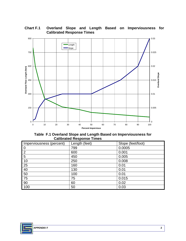

### **Chart F.1 Overland Slope and Length Based on Imperviousness for Calibrated Response Times**

 **Table F.1 Overland Slope and Length Based on Imperviousness for Calibrated Response Times** 

| Imperviousness (percent) | Length (feet) | Slope (feet/foot) |
|--------------------------|---------------|-------------------|
| $\mathbf 0$              | 799           | 0.0005            |
| $\overline{2}$           | 600           | 0.001             |
| 5                        | 450           | 0.005             |
| 10                       | 250           | 0.008             |
| 25                       | 160           | 0.01              |
| 40                       | 130           | 0.01              |
| 50                       | 100           | 0.01              |
| 75                       | 75            | 0.015             |
| 90                       | 60            | 0.02              |
| 100                      | 50            | 0.03              |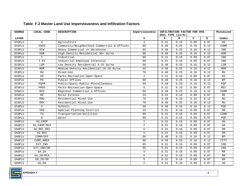| <b>SOURCE</b> | LOCAL CODE    | <b>DESCRIPTION</b>                          | Imperviousness | INFILTRATION FACTOR FOR HYD. | Minimized           |      |      |                         |
|---------------|---------------|---------------------------------------------|----------------|------------------------------|---------------------|------|------|-------------------------|
|               |               |                                             |                |                              | SOIL TYPE $(in/hr)$ |      |      |                         |
| <b>LAYER</b>  |               |                                             | %              | A                            | в                   | C    | D    | Codes                   |
| SCGPLU        | $\mathbb A$   | Agriculture                                 | $\overline{a}$ | 0.31                         | 0.16                | 0.09 | 0.07 | AG                      |
| SCGPLU        | <b>CNCO</b>   | Community/Neighborhood Commercial & Offices | 80             | 0.48                         | 0.25                | 0.16 | 0.12 | COMM                    |
| SCGPLU        | HCW           | Heavy Commercial or Warehouse               | 85             | 0.48                         | 0.25                | 0.16 | 0.12 | IND                     |
| SCGPLU        | <b>HDR</b>    | High Density Residential 30+ du/na          | 80             | 0.48                         | 0.25                | 0.16 | 0.12 | ${\tt HDR}$             |
| SCGPLU        | $\mathbf I$   | Industrial                                  | 80             | 0.31                         | 0.16                | 0.09 | 0.07 | IND                     |
| SCGPLU        | $I - E I$     | Industrial-Employee Intensive               | 80             | 0.31                         | 0.16                | 0.09 | 0.07 | IND                     |
| SCGPLU        | LDR           | Low Density Residential 4-15 du/na          | 50             | 0.48                         | 0.25                | 0.16 | 0.12 | LDR                     |
| SCGPLU        | MDR           | Medium Density Residential 16-29 du/na      | 65             | 0.48                         | 0.25                | 0.16 | 0.12 | MDR                     |
| SCGPLU        | MU            | Mixed-Use                                   | 70             | 0.48                         | 0.25                | 0.16 | 0.12 | MU                      |
| SCGPLU        | 0S            | Parks-Recreation-Open Space                 | $\overline{a}$ | 0.31                         | 0.16                | 0.09 | 0.07 | OS                      |
| SCGPLU        | PO.           | Public Offices                              | 80             | 0.48                         | 0.25                | 0.16 | 0.12 | BP                      |
| SCGPLU        | POPM          | Public/Quasi-Public-Miscellaneous           | 50             | 0.48                         | 0.25                | 0.16 | 0.12 | PQP                     |
| SCGPLU        | PROS          | Parks-Recreation-Open Space                 | 5              | 0.31                         | 0.16                | 0.09 | 0.07 | $\mathop{\mathtt{REC}}$ |
| SCGPLU        | RCO           | Regional Commercial & Offices               | 80             | 0.48                         | 0.25                | 0.16 | 0.12 | COMM                    |
| SCGPLU        | $\mathbb{RE}$ | Rural Estates                               | 15             | 0.31                         | 0.16                | 0.09 | 0.07 | $\mathbb{RE}$           |
| SCGPLU        | <b>RMU</b>    | Residential Mixed Use                       | 70             | 0.48                         | 0.25                | 0.16 | 0.12 | MU                      |
| SCGPLU        | RMX           | Residential Mixed Use                       | 70             | 0.48                         | 0.25                | 0.16 | 0.12 | MU                      |
| SCGPLU        | S             | Schools                                     | 50             | 0.48                         | 0.25                | 0.16 | 0.12 | PQP                     |
| SCGPLU        | SPD           | Special Planning District                   | 15             | 0.31                         | 0.16                | 0.09 | 0.07 | RR                      |
| SCGPLU        | TU            | Transportation/Utilities                    | 90             | 0.31                         | 0.16                | 0.09 | 0.07 | COMM                    |
| SCGPLU        | M             | Water                                       | 80             | 0.31                         | 0.16                | 0.09 | 0.07 | PQP                     |
| SAGPLU        | AG_CROP       |                                             | $\overline{a}$ | 0.31                         | 0.16                | 0.09 | 0.07 | AG                      |
| SAGPLU        | AG CROP/RCA   |                                             | 2              | 0.31                         | 0.16                | 0.09 | 0.07 | AG                      |
| SAGPLU        | AG_REC_RES    |                                             | 5              | 0.31                         | 0.16                | 0.09 | 0.07 | RR                      |
| SAGPLU        | AG-RES        |                                             | 5              | 0.31                         | 0.16                | 0.09 | 0.07 | RR                      |
| SAGPLU        | COMM/OFF      |                                             | 80             | 0.48                         | 0.25                | 0.16 | 0.12 | BP                      |
| SAGPLU        | CORE_AREA     |                                             | 80             | 0.48                         | 0.25                | 0.16 | 0.12 | CITY                    |
| SAGPLU        | EXT_IND       |                                             | 85             | 0.31                         | 0.16                | 0.09 | 0.07 | IND                     |
| SAGPLU        | EXT_IND/SM    |                                             | 85             | 0.31                         | 0.16                | 0.09 | 0.07 | IND                     |
| SAGPLU        | GA_20         |                                             | 5              | 0.31                         | 0.16                | 0.09 | 0.07 | RR                      |
| SAGPLU        | $GA_20/RCA$   |                                             | 5              | 0.31                         | 0.16                | 0.09 | 0.07 | RR                      |
| SAGPLU        | GA_20/SM      |                                             | 5              | 0.31                         | 0.16                | 0.09 | 0.07 | RR                      |
| SAGPLU        | $GA_80$       |                                             | $\overline{2}$ | 0.31                         | 0.16                | 0.09 | 0.07 | $\mathbb{A}\mathbb{G}$  |

#### **Table F.2 Master Land Use Imperviousness and Infiltration Factors**

<u> 1989 - Johann Stein, mars an deus Amerikaansk kommunister (\* 1958)</u>

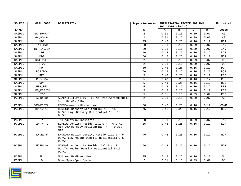| <b>SOURCE</b> | LOCAL CODE  | <b>DESCRIPTION</b>                                                                             | Imperviousness | INFILTRATION FACTOR FOR HYD. |                   | Minimized |      |            |
|---------------|-------------|------------------------------------------------------------------------------------------------|----------------|------------------------------|-------------------|-----------|------|------------|
|               |             |                                                                                                |                |                              | SOIL TYPE (in/hr) |           |      |            |
| <b>LAYER</b>  |             |                                                                                                | %              | $\mathbf{A}$                 | $\mathbf{B}$      | C.        | D    | Codes      |
| SAGPLU        | GA_80/RCA   |                                                                                                | $\overline{a}$ | 0.31                         | 0.16              | 0.09      | 0.07 | AG         |
| SAGPLU        | GA_80/SM    |                                                                                                | 2              | 0.31                         | 0.16              | 0.09      | 0.07 | AG         |
| SAGPLU        | <b>HDR</b>  |                                                                                                | 75             | 0.48                         | 0.25              | 0.16      | 0.12 | <b>HDR</b> |
| SAGPLU        | INT_IND     |                                                                                                | 80             | 0.31                         | 0.16              | 0.09      | 0.07 | IND        |
| SAGPLU        | INT_IND/SM  |                                                                                                | 80             | 0.31                         | 0.16              | 0.09      | 0.07 | IND        |
| SAGPLU        | LDR         |                                                                                                | 40             | 0.48                         | 0.25              | 0.16      | 0.12 | <b>LDR</b> |
| SAGPLU        | <b>MDR</b>  |                                                                                                | 50             | 0.48                         | 0.25              | 0.16      | 0.12 | <b>MDR</b> |
| SAGPLU        | NAT PRES    |                                                                                                | $\overline{a}$ | 0.31                         | 0.16              | 0.09      | 0.07 | 0S         |
| SAGPLU        | <b>NTOD</b> |                                                                                                | $\overline{a}$ | 0.31                         | 0.16              | 0.09      | 0.07 | 0S         |
| SAGPLU        | POP         |                                                                                                | 50             | 0.48                         | 0.25              | 0.16      | 0.12 | POP        |
| SAGPLU        | PQP/RCA     |                                                                                                | 50             | 0.48                         | 0.25              | 0.16      | 0.12 | POP        |
| SAGPLU        | <b>REC</b>  |                                                                                                | 5              | 0.48                         | 0.25              | 0.16      | 0.12 | <b>REC</b> |
| SAGPLU        | REC/RCA     |                                                                                                | 5              | 0.48                         | 0.25              | 0.16      | 0.12 | <b>REC</b> |
| SAGPLU        | <b>UDA</b>  |                                                                                                | 5              | 0.48                         | 0.25              | 0.16      | 0.12 | <b>RES</b> |
| SAGPLU        | URB_RES     |                                                                                                | 5              | 0.48                         | 0.25              | 0.16      | 0.12 | <b>RES</b> |
| SAGPLU        | URB_RES/SM  |                                                                                                | 5              | 0.48                         | 0.25              | 0.16      | 0.12 | <b>RES</b> |
| SAGPLU        | <b>UTOD</b> |                                                                                                | 5              | 0.31                         | 0.16              | 0.09      | 0.07 | <b>RES</b> |
| PCGPLU        | AG10-80     | AGAgricultural 10 - 80 Ac. Min.Agricultural<br>10 - 80 Ac. Min.                                | $\overline{2}$ | 0.31                         | 0.16              | 0.09      | 0.07 | AG         |
| PCGPLU        | COMMERCIAL  | COMMCommercialCommercial                                                                       | 80             | 0.48                         | 0.25              | 0.16      | 0.12 | COMM       |
| PCGPLU        | $HDR10-15$  | HDRHigh Density Residential 10 - 15<br>DU/Ac.High Density Residential 10 - 15<br>$DU/AC$ .     | 75             | 0.48                         | 0.25              | 0.16      | 0.12 | HDR        |
| PCGPLU        | IN          | INDIndustrialIndustrial                                                                        | 80             | 0.31                         | 0.16              | 0.09      | 0.07 | IND        |
| PCGPLU        | $LDR.4-.9$  | LDRLow Density Residential 0.4 - 0.9 Ac.<br>Min. Low Density Residential . 4 - . 9 Ac.<br>Min. | 35             | 0.48                         | 0.25              | 0.16      | 0.12 | LDR        |
| PCGPLU        | $LMDR2-5$   | LMDRLow Medium Density Residential 2 - 5<br>DU/Ac.Low Medium Density Residential 2-5<br>DU/AC  | 40             | 0.48                         | 0.25              | 0.16      | 0.12 | <b>MDR</b> |
| PCGPLU        | $MDR5-10$   | MDRMedium Density Residential 5 - 10<br>DU./Ac.Medium Density Residential 5-10<br>DU/AC        | 50             | 0.48                         | 0.25              | 0.16      | 0.12 | MDR        |
| PCGPLU        | MU          | MUMixed UseMixed Use                                                                           | 75             | 0.48                         | 0.25              | 0.16      | 0.12 | MU         |
| PCGPLU        | $\circ$     | Open SpaceOpen Space                                                                           | $\overline{a}$ | 0.31                         | 0.16              | 0.09      | 0.07 | OS         |

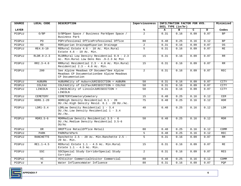| <b>SOURCE</b> | LOCAL CODE       | <b>DESCRIPTION</b>                                                                                         | Imperviousness | INFILTRATION FACTOR FOR HYD. | Minimized           |              |                   |            |
|---------------|------------------|------------------------------------------------------------------------------------------------------------|----------------|------------------------------|---------------------|--------------|-------------------|------------|
|               |                  |                                                                                                            |                |                              | SOIL TYPE $(in/hr)$ |              |                   |            |
| <b>LAYER</b>  |                  |                                                                                                            | %ร             | A                            | $\mathbf{B}$        | $\mathbf{C}$ | D                 | Codes      |
| PCGPLU        | O/BP             | 0/BPOpen Space / Business ParkOpen Space /<br>Business Park                                                | $\overline{a}$ | 0.31                         | 0.16                | 0.09         | 0.07              | <b>BP</b>  |
| PCGPLU        | PO.              | POProfessional OfficeProfessional Office                                                                   | 80             | 0.48                         | 0.25                | 0.16         | 0.12              | <b>BP</b>  |
| PCGPLU        | <b>RD</b>        | RDRiparian DrainageRiparian Drainage                                                                       | $\overline{a}$ | 0.31                         | 0.16                | 0.09         | 0.07              | OS.        |
| PCGPLU        | RE4.6-10         | RERural Estate 4.6 - 10 Ac. Min. Rural<br>Estate $4.6 - 10$ Ac. Min.                                       | 5              | 0.31                         | 0.16                | 0.09         | 0.07              | RE         |
| PCGPLU        | $RLDR.9-2.3$     | RLDRRural Low Density Residential 0.9 - 2.3<br>Ac. Min. Rural Low Dens Res . 9-2.3 Ac Min                  | 15             | 0.31                         | 0.16                | 0.09         | 0.07              | RR         |
| PCGPLU        | $RR2.3 - 4.6$    | RRRural Residential 2.3 - 4.6 Ac. Min.Rural<br>Residential 2.3 - 4.6 Ac. Min.                              | 15             | 0.31                         | 0.16                | 0.09         | 0.07              | RR         |
| PCGPLU        | 200              | See Alpine Meadows CP Documen*See Alpine<br>Meadows CP DocumentationSee Alpine Meadows<br>CP Documentation | $\overline{a}$ | 0.31                         | 0.16                | 0.09         | 0.07              | REC        |
| PCGPLU        | AUBURN           | AUBURNCity of AuburnJURISDICTION = AUBURN                                                                  | 50             | 0.31                         | 0.16                | 0.09         | 0.07              | CITY       |
| PCGPLU        | COLFAX           | COLFAXCity of ColfaxJURISDICTION = COLFAX                                                                  | 50             | 0.31                         | 0.16                | 0.09         | 0.07              | CITY       |
| PCGPLU        | LINCOLN          | LINCOLNCity of LincolnJURISDICTION =<br>LINCOLN                                                            | 50             | 0.31                         | 0.16                | 0.09         | 0.07              | CITY       |
| PCGPLU        | CEMETERY         | CEMETERYCemeteryCemetery                                                                                   | 15             | 0.48                         | 0.25                | 0.16         | 0.12              | CEM        |
| PCGPLU        | $HDR6.1-20$      | HDRHigh Density Residential 6.1 - 20<br>DU./Ac.High Density Resid. 6.1 - 20 DU./Ac.                        | 75             | 0.48                         | 0.25                | 0.16         | 0.12              | HDR        |
| PCGPLU        | $LDR1-3.4$       | LDRLow Density Residential 1 - 3.4<br>DU./Ac.Low Density Residential 1 - 3.4<br>DU.Ac.                     | 40             | 0.48                         | 0.25                | 0.16         | $\overline{0.12}$ | LDR        |
| PCGPLU        | $MDR3.5-6$       | MDRMedium Density Residential 3.5 - 6<br>DU./Ac.Medium Density Residential 3.5-6<br>DU/AC                  | 50             | 0.48                         | 0.25                | 0.16         | 0.12              | <b>MDR</b> |
| PCGPLU        | 0R               | OROffice RetailOffice Retail                                                                               | 80             | 0.48                         | 0.25                | 0.16         | 0.12              | COMM       |
| PCGPLU        | PARK             | PARKParkPark                                                                                               | 5              | 0.48                         | 0.25                | 0.16         | 0.12              | REC        |
| PCGPLU        | <b>RANCHETTE</b> | Ranchette 2.5 - 20 Ac. Min. Ranchette 2.5 -<br>20 Ac. Min.                                                 | 5              | 0.31                         | 0.16                | 0.09         | 0.07              | RR         |
| PCGPLU        | RE1.1-4.5        | RERural Estate 1.1 - 4.5 Ac. Min. Rural<br>Estate $1.1 - 4.5$ Ac. Min.                                     | 15             | 0.31                         | 0.16                | 0.09         | 0.07              | RE         |
| PCGPLU        | <b>SSC</b>       | SSCSpecial Study CorridorSpecial Study<br>Corridor                                                         | $\overline{2}$ | 0.31                         | 0.16                | 0.09         | 0.07              | RES        |
| PCGPLU        | VC               | VCVisitor CommercialVisitor Commercial                                                                     | 80             | 0.48                         | 0.25                | 0.16         | 0.12              | COMM       |
| PCGPLU        | M                | Water InfluenceWater Influence                                                                             | 80             | 0.31                         | 0.16                | 0.09         | 0.07              | PQP        |

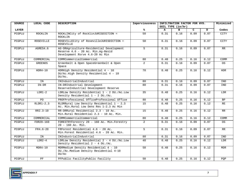| <b>SOURCE</b> | LOCAL CODE       | <b>DESCRIPTION</b>                                                                                               | Imperviousness |      | INFILTRATION FACTOR FOR HYD.<br>SOIL TYPE (in/hr) |                                                                                                                                                                                                                                                                     |      |            |  |
|---------------|------------------|------------------------------------------------------------------------------------------------------------------|----------------|------|---------------------------------------------------|---------------------------------------------------------------------------------------------------------------------------------------------------------------------------------------------------------------------------------------------------------------------|------|------------|--|
|               |                  |                                                                                                                  |                |      |                                                   | Minimized<br>$\mathbf{C}$<br>D<br>в<br>0.09<br>0.07<br>0.09<br>0.07<br>0.09<br>0.07<br>0.16<br>0.12<br>0.09<br>0.07<br>0.16<br>0.12<br>0.09<br>0.07<br>0.07<br>0.09<br>0.16<br>0.12<br>0.16<br>0.12<br>0.16<br>0.12<br>0.16<br>0.12<br>0.16<br>0.12<br>0.09<br>0.07 |      |            |  |
| <b>LAYER</b>  |                  |                                                                                                                  | %ะ             | A    |                                                   |                                                                                                                                                                                                                                                                     |      | Codes      |  |
| PCGPLU        | ROCKLIN          | ROCKLINCity of RocklinJURISDICTION =<br>ROCKLIN                                                                  | 50             | 0.31 | 0.16                                              |                                                                                                                                                                                                                                                                     |      | CITY       |  |
| PCGPLU        | <b>ROSEVILLE</b> | ROSEVILLECity of RosevilleJURISDICTION =<br>ROSEVILLE                                                            | 50             | 0.31 | 0.16                                              |                                                                                                                                                                                                                                                                     |      | CITY       |  |
| PCGPLU        | AGRES4.6         | AG-DRAgriculture-Residential Development<br>Reserve 4.6 - 20 Ac. Min.Aq-Resid<br>Development Rsrve 4.6-20 Ac Min | 5              | 0.31 | 0.16                                              |                                                                                                                                                                                                                                                                     |      | RR         |  |
| PCGPLU        | COMMERCIAL       | COMMCommercialCommercial                                                                                         | 80             | 0.48 | 0.25                                              |                                                                                                                                                                                                                                                                     |      | COMM       |  |
| PCGPLU        | <b>GREENOS</b>   | Greenbelt & Open SpaceGreenbelt & Open<br>Space                                                                  | $\overline{2}$ | 0.31 | 0.16                                              |                                                                                                                                                                                                                                                                     |      | OS         |  |
| PCGPLU        | $HDR4-10$        | HDRHigh Density Residential 4 - 10<br>DU/Ac.High Density Residential 4 - 10<br>$DU/AC$ .                         | 70             | 0.48 | 0.25                                              |                                                                                                                                                                                                                                                                     |      | <b>HDR</b> |  |
| PCGPLU        | IN               | INIndustrialIndustrial                                                                                           | 80             | 0.31 | 0.16                                              |                                                                                                                                                                                                                                                                     |      | IND        |  |
| PCGPLU        | $IN-DR$          | IN-DRIndustrial Development<br>ReserveIndustrial Development Reserve                                             | 80             | 0.31 | 0.16                                              |                                                                                                                                                                                                                                                                     |      | IND        |  |
| PCGPLU        | $LDR1-2$         | LDRLow Density Residential 1 - 2 DU./Ac.Low<br>Density Residential $1 - 2 DU./Ac.$                               | 35             | 0.48 | 0.25                                              |                                                                                                                                                                                                                                                                     |      | LDR        |  |
| PCGPLU        | PO.              | PROFProfessional OfficeProfessional Office                                                                       | 80             | 0.48 | 0.25                                              |                                                                                                                                                                                                                                                                     |      | <b>BP</b>  |  |
| PCGPLU        | $RLDR1-2.3$      | RLDRRural Low Density Residential 1 - 2.3<br>Ac. Min. Rural Low Dens Res 1-2.3 Ac Min                            | 15             | 0.48 | 0.25                                              |                                                                                                                                                                                                                                                                     |      | RE         |  |
| PCGPLU        | $RR2.3 - 10$     | RR-DRRural Residential 2.3 - 10 Ac.<br>Min. Rural Residential 2.3 - 10 Ac. Min.                                  | 15             | 0.48 | 0.25                                              |                                                                                                                                                                                                                                                                     |      | RR         |  |
| PCGPLU        | COMMERCIAL       | COMMCommercialCommercial                                                                                         | 80             | 0.48 | 0.25                                              |                                                                                                                                                                                                                                                                     |      | COMM       |  |
| PCGPLU        | FOR20-160        | FORESTRYForestry 20 - 160 Ac. Min. Forestry<br>$20 - 160$ Ac. Min.                                               | $\overline{2}$ | 0.31 | 0.16                                              |                                                                                                                                                                                                                                                                     |      | OS         |  |
| PCGPLU        | $FR4.6 - 20$     | FRForest Residential 4.6 - 20 Ac.<br>Min. Forest Residential 4.6 - 20 Ac. Min.                                   | 5              | 0.31 | 0.16                                              | 0.09                                                                                                                                                                                                                                                                | 0.07 | RR         |  |
| PCGPLU        | IN               | INIndustrialIndustrial                                                                                           | 80             | 0.31 | 0.16                                              | 0.09                                                                                                                                                                                                                                                                | 0.07 | IND        |  |
| PCGPLU        | $LDR2-4$         | LDRLow Density Residential 2 - 4 DU./Ac.Low<br>Density Residential 2 - 4 DU./Ac.                                 | 40             | 0.48 | 0.25                                              | 0.16                                                                                                                                                                                                                                                                | 0.12 | LDR        |  |
| PCGPLU        | $MDR4-10$        | MDRMedium Density Residential 4 - 10<br>DU./Ac.Medium Density Residential 4-10<br>$DU/AC$                        | 50             | 0.48 | 0.25                                              | 0.16                                                                                                                                                                                                                                                                | 0.12 | <b>MDR</b> |  |
| PCGPLU        | PF               | PFPublic FacilityPublic Facility                                                                                 | 50             | 0.48 | 0.25                                              | 0.16                                                                                                                                                                                                                                                                | 0.12 | POP        |  |

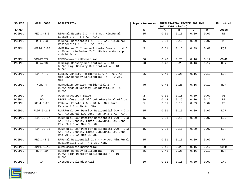| SOURCE       | LOCAL CODE    | <b>DESCRIPTION</b>                                                                                                    | Imperviousness |                   | Minimized<br>INFILTRATION FACTOR FOR HYD.<br>SOIL TYPE (in/hr) |              |      |            |  |  |
|--------------|---------------|-----------------------------------------------------------------------------------------------------------------------|----------------|-------------------|----------------------------------------------------------------|--------------|------|------------|--|--|
| <b>LAYER</b> |               |                                                                                                                       | ℁              | $\mathbf{A}$      | в                                                              | $\mathbf{C}$ | D    | Codes      |  |  |
| PCGPLU       | $RE2.3 - 4.6$ | RERural Estate 2.3 - 4.6 Ac. Min.Rural<br>Estate $2.3 - 4.6$ Ac. Min.                                                 | 15             | 0.31              | 0.16                                                           | 0.09         | 0.07 | <b>RE</b>  |  |  |
| PCGPLU       | $RR1-2.3$     | RRRural Residential 1 - 2.3 Ac. Min. Rural<br>Residential 1 - 2.3 Ac. Min.                                            | 15             | 0.31              | 0.16                                                           | 0.09         | 0.07 | RR         |  |  |
| PCGPLU       | WPRI4.6-20    | W/PRIWater Influence/Private Ownership 4.6<br>- 20 Ac. Min. Water Infl./Private Ownrshp<br>$4.6 - 20$ Ac Mi           | 5              | 0.31              | 0.16                                                           | 0.09         | 0.07 | PQP        |  |  |
| PCGPLU       | COMMERCIAL    | COMMCommercialCommercial                                                                                              | 80             | 0.48              | 0.25                                                           | 0.16         | 0.12 | COMM       |  |  |
| PCGPLU       | $HDR4-10$     | HDRHigh Density Residential 4 - 10<br>DU/Ac.High Density Residential 4 - 10<br>$DU/AC$ .                              | 70             | 0.48              | 0.25                                                           | 0.16         | 0.12 | <b>HDR</b> |  |  |
| PCGPLU       | $LDR.4-.9$    | LDRLow Density Residential 0.4 - 0.9 Ac.<br>Min. Low Density Residential . 4 - . 9 Ac.<br>Min.                        | 35             | 0.48              | 0.25                                                           | 0.16         | 0.12 | LDR        |  |  |
| PCGPLU       | $MDR2-4$      | MDRMedium Density Residential 2 - 4<br>DU/Ac.Medium Density Residential 2 - 4<br>$DU/AC$ .                            | 40             | 0.48              | 0.25                                                           | 0.16         | 0.12 | MDR        |  |  |
| PCGPLU       | $\circ$       | Open SpaceOpen Space                                                                                                  | $\overline{2}$ | 0.31              | 0.16                                                           | 0.09         | 0.07 | OS.        |  |  |
| PCGPLU       | PO.           | PROFProfessional OfficeProfessional Office                                                                            | 80             | 0.48              | 0.25                                                           | 0.16         | 0.12 | <b>BP</b>  |  |  |
| PCGPLU       | RE 4.6-20     | RERural Estate 4.6 - 20 Ac. Min. Rural<br>Estate $4.6 - 20$ Ac. Min.                                                  | $5^{\circ}$    | 0.31              | 0.16                                                           | 0.09         | 0.07 | RE         |  |  |
| PCGPLU       | RLDR.9-2.3    | RLDRRural Low Density Residential 0.9 - 2.3<br>Ac. Min. Rural Low Dens Res . 9-2.3 Ac. Min.                           | 15             | $\overline{0.31}$ | 0.16                                                           | 0.09         | 0.07 | LDR        |  |  |
| PCGPLU       | RLDR-DL.67    | RLDRRural Low Density Residential 0.9 - 2.3<br>Ac. Min. Density Limit 0.67Rural Low Dens<br>Res .9-2.3 Ac Min DL .67  | 15             | 0.31              | 0.16                                                           | 0.09         | 0.07 | LDR        |  |  |
| PCGPLU       | RLDR-DL.83    | RLDRRural Low Density Residential 0.9 - 2.3<br>Ac. Min. Density Limit 0.83Rural Low Dens<br>Res . 9-2.3 Ac Min DL .83 | 15             | 0.31              | 0.16                                                           | 0.09         | 0.07 | LDR        |  |  |
| PCGPLU       | $RR2.3 - 4.6$ | RRRural Residential 2.3 - 4.6 Ac. Min. Rural<br>Residential $2.3 - 4.6$ Ac. Min.                                      | 15             | 0.31              | 0.16                                                           | 0.09         | 0.07 | <b>RR</b>  |  |  |
| PCGPLU       | COMMERCIAL    | COMMCommercialCommercial                                                                                              | 80             | 0.48              | 0.25                                                           | 0.16         | 0.12 | COMM       |  |  |
| PCGPLU       | $HDR4-10$     | HDRHigh Density Residential 4 - 10<br>DU/Ac.High Density Residential 4 - 10<br>$DU/AC$ .                              | 65             | 0.48              | 0.25                                                           | 0.16         | 0.12 | <b>HDR</b> |  |  |
| PCGPLU       | IN            | INIndustrialIndustrial                                                                                                | 80             | 0.31              | 0.16                                                           | 0.09         | 0.07 | IND        |  |  |

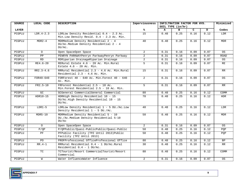| SOURCE       | LOCAL CODE    | <b>DESCRIPTION</b>                                                                         | Imperviousness | INFILTRATION FACTOR FOR HYD. | Minimized           |              |      |           |
|--------------|---------------|--------------------------------------------------------------------------------------------|----------------|------------------------------|---------------------|--------------|------|-----------|
|              |               |                                                                                            |                |                              | SOIL TYPE $(in/hr)$ |              |      |           |
| <b>LAYER</b> |               |                                                                                            | %ร             | $\mathbf{A}$                 | в                   | $\mathbf{C}$ | D    | Codes     |
| PCGPLU       | $LDR.4-2.3$   | LDRLow Density Residential 0.4 - 2.3 Ac.<br>Min. Low Density Resid. 0.4 - 2.3 Ac. Min.     | 15             | 0.48                         | 0.25                | 0.16         | 0.12 | LDR       |
| PCGPLU       | $MDR2-4$      | MDRMedium Density Residential 2 - 4<br>DU/Ac.Medium Density Residential 2 - 4<br>$DU/AC$ . | 40             | 0.48                         | 0.25                | 0.16         | 0.12 | MDR       |
| PCGPLU       | $\Omega$      | Open SpaceOpen Space                                                                       | $\overline{2}$ | 0.31                         | 0.16                | 0.09         | 0.07 | <b>OS</b> |
| PCGPLU       | PP            | PENRYN PARKWAYPenryn ParkwayPenryn Parkway                                                 | 2              | 0.31                         | 0.16                | 0.09         | 0.07 | ROAD      |
| PCGPLU       | <b>RD</b>     | RDRiparian DrainageRiparian Drainage                                                       | $\overline{2}$ | 0.31                         | 0.16                | 0.09         | 0.07 | OS        |
| PCGPLU       | $RE4.6 - 20$  | RERural Estate 4.6 - 20 Ac. Min. Rural<br>Estate $4.6 - 20$ Ac. Min.                       | 5 <sup>5</sup> | 0.31                         | 0.16                | 0.09         | 0.07 | RE        |
| PCGPLU       | $RR2.3 - 4.6$ | RRRural Residential 2.3 - 4.6 Ac. Min. Rural<br>Residential 2.3 - 4.6 Ac. Min.             | 15             | 0.31                         | 0.16                | 0.09         | 0.07 | RR        |
| PCGPLU       | FOR40-640     | FORForest $40 - 640$ Ac. Min. Forest $40 - 640$<br>Ac. Min.                                | $\overline{2}$ | 0.31                         | 0.16                | 0.09         | 0.07 | OS        |
| PCGPLU       | $FR2.5 - 10$  | FRForest Residential 2.5 - 10 Ac.<br>Min. Forest Residential 2.5 - 10 Ac. Min.             | $5^{\circ}$    | 0.31                         | 0.16                | 0.09         | 0.07 | <b>RR</b> |
| PCGPLU       | GC            | GCGeneral CommercialGeneral Commercial                                                     | 80             | 0.48                         | 0.25                | 0.16         | 0.12 | COMM      |
| PCGPLU       | HDR10-15      | HDRHigh Density Residential 10 - 15<br>DU/Ac.High Density Residential 10 - 15<br>$DU/AC$ . | 70             | 0.48                         | 0.25                | 0.16         | 0.12 | HDR       |
| PCGPLU       | $LDR1-5$      | LDRLow Density Residential 1 - 5 DU./Ac.Low<br>Density Residential 1 - 5 DU./Ac.           | 40             | 0.48                         | 0.25                | 0.16         | 0.12 | LDR       |
| PCGPLU       | $MDR5-10$     | MDRMedium Density Residential 5 - 10<br>DU./Ac.Medium Density Residential 5-10<br>DU/AC    | 50             | 0.48                         | 0.25                | 0.16         | 0.12 | MDR       |
| PCGPLU       | $\Omega$      | Open SpaceOpen Space                                                                       | $\overline{a}$ | 0.31                         | 0.16                | 0.09         | 0.07 | OS        |
| PCGPLU       | $P$ / QP      | P/QPPublic/Quasi-PublicPublic/Quasi-Public                                                 | 50             | 0.48                         | 0.25                | 0.16         | 0.12 | POP       |
| PCGPLU       | PF            | PFPublic Facility (TPZ Until 2013) Public<br>Facility (TPZ Until 2013)                     | 50             | 0.48                         | 0.25                | 0.16         | 0.12 | PQP       |
| PCGPLU       | PO.           | PROFProfessional OfficeProfessional Office                                                 | 80             | 0.48                         | 0.25                | 0.16         | 0.12 | <b>BP</b> |
| PCGPLU       | $RR.4-1$      | RRRural Residential 0.4 - 1 DU/Ac.Rural<br>Residential $0.4 - 1$ DU/Ac.                    | 30             | 0.48                         | 0.25                | 0.16         | 0.12 | RR        |
| PCGPLU       | TC            | TCTourist/Resort CommercialTourist/Resort<br>Commercial                                    | 80             | 0.48                         | 0.25                | 0.16         | 0.12 | COMM      |
| PCGPLU       | W             | Water InfluenceWater Influence                                                             | $\overline{2}$ | 0.31                         | 0.16                | 0.09         | 0.07 | OS        |

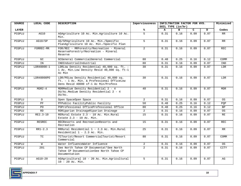| SOURCE       | LOCAL CODE   | <b>DESCRIPTION</b>                                                                                                            | Imperviousness  |      | INFILTRATION FACTOR FOR HYD.<br>Minimized<br>SOIL TYPE $(in/hr)$ |      |      |            |  |  |
|--------------|--------------|-------------------------------------------------------------------------------------------------------------------------------|-----------------|------|------------------------------------------------------------------|------|------|------------|--|--|
| <b>LAYER</b> |              |                                                                                                                               | ℁               | A    | в                                                                | C.   | D    | Codes      |  |  |
| PCGPLU       | AG10         | AGAgriculture 10 Ac. Min.Agriculture 10 Ac.<br>Min.                                                                           | 5               | 0.31 | 0.16                                                             | 0.09 | 0.07 | <b>RR</b>  |  |  |
| PCGPLU       | AG10/SP      | AG/SPAgriculture 10 Ac. Min./Specific<br>PlanAgriculture 10 Ac. Min./Specific Plan                                            | $5^{\circ}$     | 0.31 | 0.16                                                             | 0.09 | 0.07 | RR         |  |  |
| PCGPLU       | FORREC-MR    | FOR/REC - MRForestry/Recreation - Mineral<br>ReserveForestry/Recreation - Mineral<br>Reserve                                  | 2               | 0.31 | 0.16                                                             | 0.09 | 0.07 | REC        |  |  |
| PCGPLU       | GC           | GCGeneral CommercialGeneral Commercial                                                                                        | 80              | 0.48 | 0.25                                                             | 0.16 | 0.12 | COMM       |  |  |
| PCGPLU       | IN           | INDIndustrialIndustrial                                                                                                       | 80              | 0.31 | 0.16                                                             | 0.09 | 0.07 | IND        |  |  |
| PCGPLU       | LDR40000-1   | LDRLow Density Residential 40,000 sq. ft. -<br>1 Ac. Min. Low Density Resid 40,000 sq. ft-1<br>Ac Min                         | 30              | 0.31 | 0.16                                                             | 0.09 | 0.07 | LDR        |  |  |
| PCGPLU       | LDR40000PO   | LDR/POLow Density Residential 40,000 sq.<br>ft. - 1 Ac. Min. & Professional OfficeLow<br>Dens Resid 40000 sf-1 Ac Min/Profess | 30              | 0.31 | 0.16                                                             | 0.09 | 0.07 | LDR        |  |  |
| PCGPLU       | $MDR2-4$     | MDRMedium Density Residential 2 - 4<br>DU/Ac.Medium Density Residential 2 - 4<br>$DU/AC$ .                                    | 40              | 0.31 | 0.16                                                             | 0.09 | 0.07 | MDR        |  |  |
| PCGPLU       | $\circ$      | Open SpaceOpen Space                                                                                                          | $\overline{a}$  | 0.31 | 0.16                                                             | 0.09 | 0.07 | OS         |  |  |
| PCGPLU       | PF           | PFPublic FacilityPublic Facility                                                                                              | 50              | 0.48 | 0.25                                                             | 0.16 | 0.12 | POP        |  |  |
| PCGPLU       | PO           | POProfessional OfficeProfessional Office                                                                                      | 80              | 0.48 | 0.25                                                             | 0.16 | 0.12 | <b>BP</b>  |  |  |
| PCGPLU       | RD.          | RDRiparian DrainageRiparian Drainage                                                                                          | 2               | 0.31 | 0.16                                                             | 0.09 | 0.07 | OS         |  |  |
| PCGPLU       | $RE2.3 - 10$ | RERural Estate 2.3 - 10 Ac. Min. Rural<br>Estate $2.3 - 10$ Ac. Min.                                                          | 15              | 0.31 | 0.16                                                             | 0.09 | 0.07 | RE         |  |  |
| PCGPLU       | RESREC       | RECResorts and RecreationResorts and<br>Recreation                                                                            | 15              | 0.31 | 0.16                                                             | 0.09 | 0.07 | <b>REC</b> |  |  |
| PCGPLU       | $RR1-2.3$    | RRRural Residential 1 - 2.3 Ac. Min. Rural<br>Residential 1 - 2.3 Ac. Min.                                                    | $\overline{25}$ | 0.31 | 0.16                                                             | 0.09 | 0.07 | RR         |  |  |
| PCGPLU       | <b>TC</b>    | TCTourist/Resort CommercialTourist/Resort<br>Commercial                                                                       | 80              | 0.31 | 0.16                                                             | 0.09 | 0.07 | COMM       |  |  |
| PCGPLU       | W            | Water InfluenceWater Influence                                                                                                | $\overline{a}$  | 0.31 | 0.16                                                             | 0.09 | 0.07 | OS         |  |  |
| PCGPLU       | 201          | See North Tahoe CP Documentat*See North<br>Tahoe CP DocumentationSee North Tahoe CP<br>Documentation                          | $\overline{2}$  | 0.31 | 0.16                                                             | 0.09 | 0.07 | CITY       |  |  |
| PCGPLU       | AG10-20      | AGAgricultural 10 - 20 Ac. Min. Agricultural<br>$10 - 20$ Ac. Min.                                                            | 5               | 0.31 | 0.16                                                             | 0.09 | 0.07 | AG         |  |  |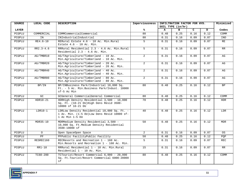| <b>SOURCE</b> | LOCAL CODE    | <b>DESCRIPTION</b>                                                                                             | Imperviousness |              | INFILTRATION FACTOR FOR HYD.<br>SOIL TYPE $(in/hr)$ |              |      |            |
|---------------|---------------|----------------------------------------------------------------------------------------------------------------|----------------|--------------|-----------------------------------------------------|--------------|------|------------|
|               |               |                                                                                                                |                |              |                                                     |              |      |            |
| <b>LAYER</b>  |               |                                                                                                                | %ะ             | $\mathbf{A}$ | $\mathbf{B}$                                        | $\mathbf{C}$ | D    | Codes      |
| PCGPLU        | COMMERCIAL    | COMMCommercialCommercial                                                                                       | 80             | 0.48         | 0.25                                                | 0.16         | 0.12 | COMM       |
| PCGPLU        | IN            | INIndustrialIndustrial                                                                                         | 80             | 0.31         | 0.16                                                | 0.09         | 0.07 | IND        |
| PCGPLU        | RE4.6-10      | RERural Estate 4.6 - 10 Ac. Min. Rural<br>Estate $4.6 - 10$ Ac. Min.                                           | 5              | 0.31         | 0.16                                                | 0.09         | 0.07 | RE         |
| PCGPLU        | $RR2.3 - 4.6$ | RRRural Residential 2.3 - 4.6 Ac. Min.Rural<br>Residential 2.3 - 4.6 Ac. Min.                                  | 5              | 0.31         | 0.16                                                | 0.09         | 0.07 | RR         |
| PCGPLU        | AG/TMBR10     | AG/TAgriculture/Timberland - 10 Ac.<br>Min.Agriculture/Timberland - 10 Ac. Min.                                | $\overline{a}$ | 0.31         | 0.16                                                | 0.09         | 0.07 | AG         |
| PCGPLU        | AG/TMBR20     | AG/TAgriculture/Timberland - 20 Ac.<br>Min.Agriculture/Timberland - 20 Ac. Min.                                | $\overline{a}$ | 0.31         | 0.16                                                | 0.09         | 0.07 | AG         |
| PCGPLU        | AG/TMBR40     | AG/TAgriculture/Timberland - 40 Ac.<br>Min.Agriculture/Timberland - 40 Ac. Min.                                | $\overline{a}$ | 0.31         | $\overline{0.16}$                                   | 0.09         | 0.07 | AG         |
| PCGPLU        | AG/TMBR80     | AG/TAgriculture/Timberland - 80 Ac.<br>Min.Agriculture/Timberland - 80 Ac. Min.                                | $\overline{2}$ | 0.31         | 0.16                                                | 0.09         | 0.07 | AG         |
| PCGPLU        | BP/IN         | BP/INBusiness Park/Industrial 10,000 Sq.<br>Ft. - 5 Ac. Min. Business Park/Indust. 10000<br>sf-5 Ac Min        | 80             | 0.48         | 0.25                                                | 0.16         | 0.12 | <b>BP</b>  |
| PCGPLU        | GC            | GCGeneral CommercialGeneral Commercial                                                                         | 80             | 0.48         | 0.25                                                | 0.16         | 0.12 | COMM       |
| PCGPLU        | HDR10-21      | HDRHigh Density Residential 3,500 - 10,000<br>Sq. Ft. (10-21 DU) High Dens Resid 3500-<br>10000 sf 10-21 DU    | 70             | 0.48         | 0.25                                                | 0.16         | 0.12 | <b>HDR</b> |
| PCGPLU        | $LDR10-1$     | LDRLow Density Residential 10,000 Sq. Ft. -<br>1 Ac. Min. (1-5 DU) Low Dens Resid 10000 sf-<br>1 Ac Min 1-5 DU | 40             | 0.48         | 0.25                                                | 0.16         | 0.12 | LDR        |
| PCGPLU        | $MDR35-10$    | MDRMedium Density Residential 3,500 -<br>10,000 Sq. Ft. Medium Density Residential<br>3500-10000 sf            | 50             | 0.48         | 0.25                                                | 0.16         | 0.12 | <b>MDR</b> |
| PCGPLU        | $\circ$       | Open SpaceOpen Space                                                                                           | $\overline{a}$ | 0.31         | 0.16                                                | 0.09         | 0.07 | 0S         |
| PCGPLU        | PF            | PFPublic FacilityPublic Facility                                                                               | 50             | 0.48         | 0.25                                                | 0.16         | 0.12 | PQP        |
| PCGPLU        | RESREC160     | RECResorts and Recreation 1 - 160 Ac.<br>Min. Resorts and Recreation 1 - 160 Ac. Min.                          | 5              | 0.31         | 0.16                                                | 0.09         | 0.07 | <b>REC</b> |
| PCGPLU        | $RR1-10$      | RRRural Residential 1 - 10 Ac. Min. Rural<br>Residential 1 - 10 Ac. Min.                                       | 15             | 0.31         | 0.16                                                | 0.09         | 0.07 | <b>RR</b>  |
| PCGPLU        | $TC60 - 200$  | TCTourist/Resort Commercial 6,000 - 20,000<br>Sq. Ft.Tourist/Resort Commercial 6000-20000<br>sf                | 80             | 0.48         | 0.25                                                | 0.16         | 0.12 | COMM       |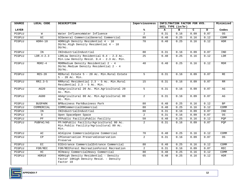| <b>SOURCE</b> | LOCAL CODE     | <b>DESCRIPTION</b>                                                          | Imperviousness  |              | INFILTRATION FACTOR FOR HYD.<br>SOIL TYPE $(in/hr)$ |      |                   |            |  |
|---------------|----------------|-----------------------------------------------------------------------------|-----------------|--------------|-----------------------------------------------------|------|-------------------|------------|--|
| <b>LAYER</b>  |                |                                                                             | %               | $\mathbf{A}$ | в                                                   | C.   | D                 | Codes      |  |
| PCGPLU        | M              | Water InfluenceWater Influence                                              | 2               | 0.31         | 0.16                                                | 0.09 | 0.07              | 0S         |  |
| PCGPLU        | GC             | GCGeneral CommercialGeneral Commercial                                      | 80              | 0.48         | 0.25                                                | 0.16 | 0.12              | COMM       |  |
|               |                |                                                                             |                 |              |                                                     |      |                   |            |  |
| PCGPLU        | $HDR4-10$      | HDRHigh Density Residential 4 - 10<br>DU/Ac.High Density Residential 4 - 10 | 70              | 0.48         | 0.25                                                | 0.16 | 0.12              | HDR        |  |
|               |                | DU/Ac.                                                                      |                 |              |                                                     |      |                   |            |  |
| PCGPLU        | ΙN             | INIndustrialIndustrial                                                      | 80              | 0.31         | 0.16                                                | 0.09 | 0.07              | IND        |  |
| PCGPLU        | $LDR.4-2.3$    | LDRLow Density Residential 0.4 - 2.3 Ac.                                    | $\overline{25}$ | 0.48         | 0.25                                                | 0.16 | 0.12              | LDR        |  |
|               |                | Min. Low Density Resid. 0.4 - 2.3 Ac. Min.                                  |                 |              |                                                     |      |                   |            |  |
| PCGPLU        | $MDR2-4$       | MDRMedium Density Residential 2 - 4                                         | 40              | 0.48         | 0.25                                                | 0.16 | $\overline{0.12}$ | <b>MDR</b> |  |
|               |                | DU/Ac.Medium Density Residential 2 - 4                                      |                 |              |                                                     |      |                   |            |  |
|               |                | $DU/AC$ .                                                                   |                 |              |                                                     |      |                   |            |  |
| PCGPLU        | <b>RE5-20</b>  | RERural Estate 5 - 20 Ac. Min. Rural Estate                                 | 5 <sup>1</sup>  | 0.31         | 0.16                                                | 0.09 | 0.07              | RE         |  |
|               |                | $5 - 20$ Ac. Min.                                                           |                 |              |                                                     |      |                   |            |  |
| PCGPLU        | $RR2.3-5$      | RRRural Residential 2.3 - 5 Ac. Min. Rural                                  | 15              | 0.31         | 0.16                                                | 0.09 | 0.07              | RR         |  |
|               |                | Residential 2.3 - 5 Ac. Min.                                                |                 |              |                                                     |      |                   |            |  |
| PCGPLU        | AG20           | AGAgricultural 20 Ac. Min.Agricultural 20                                   | $5^{\circ}$     | 0.31         | 0.16                                                | 0.09 | 0.07              | AG         |  |
|               |                | Ac. Min.                                                                    |                 |              |                                                     |      |                   |            |  |
| PCGPLU        | AG80           | AGAgricultural 80 Ac. Min.Agricultural 80                                   | $\overline{a}$  | 0.31         | 0.16                                                | 0.09 | 0.07              | AG         |  |
|               |                | Ac. Min.                                                                    |                 |              |                                                     |      |                   |            |  |
| PCGPLU        | <b>BUSPARK</b> | BPBusiness ParkBusiness Park                                                | 80              | 0.48         | 0.25                                                | 0.16 | 0.12              | <b>BP</b>  |  |
| PCGPLU        | COMMERCIAL     | COMMCommercialCommercial                                                    | 80              | 0.48         | 0.25                                                | 0.16 | 0.12              | COMM       |  |
| PCGPLU        | IN             | INIndustrialIndustrial                                                      | 80              | 0.31         | 0.16                                                | 0.09 | 0.07              | IND        |  |
| PCGPLU        | $\Omega$       | Open SpaceOpen Space                                                        | $\overline{2}$  | 0.31         | 0.16                                                | 0.09 | 0.07              | OS         |  |
| PCGPLU        | PF             | PFPublic FacilityPublic Facility                                            | 50              | 0.48         | 0.25                                                | 0.16 | 0.12              | PQP        |  |
| PCGPLU        | PUBFAC/AG      | PF/AGPublic Facility/Agricultural 80 Ac.                                    | $\overline{2}$  | 0.31         | 0.16                                                | 0.09 | 0.07              | POP        |  |
|               |                | Min. Public Facility/Agricultural 80 Ac.                                    |                 |              |                                                     |      |                   |            |  |
|               |                | Min.                                                                        |                 |              |                                                     |      |                   |            |  |
| PCGPLU        | AC             | ACAlpine CommercialAlpine Commercial                                        | 70              | 0.48         | 0.25                                                | 0.16 | 0.12              | COMM       |  |
| PCGPLU        | CP             | CPConservation PreserveConservation                                         | $\overline{2}$  | 0.31         | 0.16                                                | 0.09 | 0.07              | 0S         |  |
|               |                | Preserve                                                                    |                 |              |                                                     |      |                   |            |  |
| PCGPLU        | EC             | ECEntrance CommercialEntrance Commercial                                    | 80              | 0.48         | 0.25                                                | 0.16 | 0.12              | COMM       |  |
| PCGPLU        | FOR/REC        | FOR/RECForest RecreationForest Recreation                                   | 2               | 0.31         | 0.16                                                | 0.09 | 0.07              | <b>REC</b> |  |
| PCGPLU        | HC             | HCHeavy CommercialHeavy Commercial                                          | 80              | 0.48         | 0.25                                                | 0.16 | 0.12              | COMM       |  |
| PCGPLU        | HDR10          | HDRHigh Density Residential - Density                                       | 65              | 0.48         | 0.25                                                | 0.16 | 0.12              | <b>HDR</b> |  |
|               |                | Factor 10High Density Resid. - Density                                      |                 |              |                                                     |      |                   |            |  |
|               |                | Factor 10                                                                   |                 |              |                                                     |      |                   |            |  |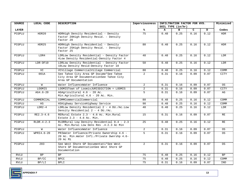| <b>SOURCE</b> | LOCAL CODE    | <b>DESCRIPTION</b>                                                                                           | Imperviousness |                     | INFILTRATION FACTOR FOR HYD.<br>SOIL TYPE $(in/hr)$ |      |      |            |  |  |
|---------------|---------------|--------------------------------------------------------------------------------------------------------------|----------------|---------------------|-----------------------------------------------------|------|------|------------|--|--|
| <b>LAYER</b>  |               |                                                                                                              | %ะ             | $\mathbf{A}$        | в                                                   | C.   | D    | Codes      |  |  |
| PCGPLU        | HDR20         | HDRHigh Density Residential - Density<br>Factor 20High Density Resid. - Density<br>Factor 20                 | 75             | 0.48                | 0.25                                                | 0.16 | 0.12 | HDR        |  |  |
| PCGPLU        | HDR25         | HDRHigh Density Residential - Density<br>Factor 25High Density Resid. - Density<br>Factor 25                 | 80             | 0.48                | 0.25                                                | 0.16 | 0.12 | <b>HDR</b> |  |  |
| PCGPLU        | LDR4          | LDRLow Density Residential - Density Factor<br>4Low Density Residential-Density Factor 4                     | 40             | 0.48                | 0.25                                                | 0.16 | 0.12 | LDR        |  |  |
| PCGPLU        | LDR-DF10      | LDRLow Density Residential - Density Factor<br>10Low Density Resid-Density Factor 10                         | 50             | 0.48                | 0.25                                                | 0.16 | 0.12 | LDR        |  |  |
| PCGPLU        | <b>VC</b>     | VCVillage CommercialVillage Commercial                                                                       | 80             | 0.48                | 0.25                                                | 0.16 | 0.12 | COMM       |  |  |
| PCGPLU        | 001A          | See Tahoe City Area GP Docume*See Tahoe<br>City Area GP DocumentationSee Tahoe City<br>Area GP Documentation | $\overline{2}$ | 0.31                | 0.16                                                | 0.09 | 0.07 | CITY       |  |  |
| PCGPLU        | W             | Water InfluenceWater Influence                                                                               | $\overline{a}$ | 0.31                | 0.16                                                | 0.09 | 0.07 | 0S         |  |  |
| PCGPLU        | LOOMIS        | LOOMISTown of LoomisJURISDICTION = LOOMIS                                                                    | $\overline{a}$ | $\overline{0}$ . 31 | 0.16                                                | 0.09 | 0.07 | CITY       |  |  |
| PCGPLU        | $AG4.6-20$    | AGAqricultural 4.6 - 20 Ac.<br>Min. Agricultural 4.6 - 20 Ac. Min.                                           | 5 <sup>1</sup> | 0.31                | 0.16                                                | 0.09 | 0.07 | AG         |  |  |
| PCGPLU        | COMMERCIAL    | COMMCommercialCommercial                                                                                     | 80             | 0.48                | 0.25                                                | 0.16 | 0.12 | COMM       |  |  |
| PCGPLU        | <b>HS</b>     | HSHighway ServiceHighway Service                                                                             | 90             | 0.48                | 0.25                                                | 0.16 | 0.12 | COMM       |  |  |
| PCGPLU        | $LDR2-4$      | LDRLow Density Residential 2 - 4 DU./Ac.Low<br>Density Residential 2 - 4 DU./Ac.                             | 40             | 0.48                | 0.25                                                | 0.16 | 0.12 | LDR        |  |  |
| PCGPLU        | $RE2.3 - 4.6$ | RERural Estate 2.3 - 4.6 Ac. Min. Rural<br>Estate $2.3 - 4.6$ Ac. Min.                                       | 15             | 0.31                | 0.16                                                | 0.09 | 0.07 | RE         |  |  |
| PCGPLU        | $RLDR.4-2.3$  | RLDRRural Low Density Residential 0.4 - 2.3<br>Ac. Min. Rural Low Dens Res . 4-2.3 Ac Min                    | 25             | 0.48                | 0.25                                                | 0.16 | 0.12 | RE         |  |  |
| PCGPLU        | M             | Water InfluenceWater Influence                                                                               | $\overline{2}$ | 0.31                | 0.16                                                | 0.09 | 0.07 | 0S         |  |  |
| PCGPLU        | WPRI4.6-20    | PRIWater Influence/Private Ownership 4.6 -<br>20 Ac. Min. Water Infl./Private Ownrshp 4.6-<br>20 Ac Mi       | 5              | 0.31                | 0.16                                                | 0.09 | 0.07 | 0S         |  |  |
| PCGPLU        | 203           | See West Shore GP Documentati*See West<br>Shore GP DocumentationSee West Shore GP<br>Documentation           | $\overline{2}$ | 0.31                | 0.16                                                | 0.09 | 0.07 | 0S         |  |  |
| <b>RVLU</b>   | <b>BP</b>     | <b>BP</b>                                                                                                    | 75             | 0.48                | 0.25                                                | 0.16 | 0.12 | <b>BP</b>  |  |  |
| <b>RVLU</b>   | BP/CC         | <b>BPCC</b>                                                                                                  | 75             | 0.48                | 0.25                                                | 0.16 | 0.12 | COMM       |  |  |
| RVLU          | BP/LI         | <b>BPLI</b>                                                                                                  | 75             | 0.31                | 0.16                                                | 0.09 | 0.07 | IND        |  |  |

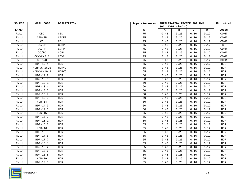| SOURCE       | LOCAL CODE    | <b>DESCRIPTION</b> | Imperviousness | INFILTRATION FACTOR FOR HYD. | Minimized         |      |      |            |
|--------------|---------------|--------------------|----------------|------------------------------|-------------------|------|------|------------|
|              |               |                    |                |                              | SOIL TYPE (in/hr) |      |      |            |
| <b>LAYER</b> |               |                    | ℁              | A                            | в                 | C    | D    | Codes      |
| RVLU         | CBD           | <b>CBD</b>         | 75             | 0.48                         | 0.25              | 0.16 | 0.12 | COMM       |
| <b>RVLU</b>  | CBD/FP        | CBDFP              | 75             | 0.48                         | 0.25              | 0.16 | 0.12 | COMM       |
| <b>RVLU</b>  | CC            | CC                 | 75             | 0.48                         | 0.25              | 0.16 | 0.12 | COMM       |
| <b>RVLU</b>  | CC/BP         | CCBP               | 75             | 0.48                         | 0.25              | 0.16 | 0.12 | <b>BP</b>  |
| <b>RVLU</b>  | CC/FP         | CCFP               | 75             | 0.48                         | 0.25              | 0.16 | 0.12 | COMM       |
| <b>RVLU</b>  | CC/RC         | CCRC               | 75             | 0.48                         | 0.25              | 0.16 | 0.12 | COMM       |
| <b>RVLU</b>  | $CC/VC-2.8$   | CCVC               | 75             | 0.48                         | 0.25              | 0.16 | 0.12 | COMM       |
| <b>RVLU</b>  | $CC-3.8$      | CC                 | 75             | 0.48                         | 0.25              | 0.16 | 0.12 | COMM       |
| <b>RVLU</b>  | HDR 19.4      | HDR                | 65             | 0.48                         | 0.25              | 0.16 | 0.12 | HDR        |
| <b>RVLU</b>  | $HDR/VC-16.5$ | HDRVC              | 65             | 0.48                         | 0.25              | 0.16 | 0.12 | <b>HDR</b> |
| <b>RVLU</b>  | $HDR/VC-19.3$ | <b>HDRVC</b>       | 65             | 0.48                         | 0.25              | 0.16 | 0.12 | <b>HDR</b> |
| <b>RVLU</b>  | $HDR-12.2$    | <b>HDR</b>         | 60             | 0.48                         | 0.25              | 0.16 | 0.12 | <b>HDR</b> |
| <b>RVLU</b>  | $HDR-13.0$    | HDR                | 60             | 0.48                         | 0.25              | 0.16 | 0.12 | <b>HDR</b> |
| <b>RVLU</b>  | $HDR-13.1$    | <b>HDR</b>         | 60             | 0.48                         | 0.25              | 0.16 | 0.12 | <b>HDR</b> |
| RVLU         | $HDR-13.4$    | <b>HDR</b>         | 60             | 0.48                         | 0.25              | 0.16 | 0.12 | <b>HDR</b> |
| <b>RVLU</b>  | $HDR-13.6$    | HDR                | 60             | 0.48                         | 0.25              | 0.16 | 0.12 | <b>HDR</b> |
| <b>RVLU</b>  | $HDR-13.7$    | <b>HDR</b>         | 60             | 0.48                         | 0.25              | 0.16 | 0.12 | <b>HDR</b> |
| <b>RVLU</b>  | $HDR-13.9$    | HDR                | 60             | 0.48                         | 0.25              | 0.16 | 0.12 | <b>HDR</b> |
| <b>RVLU</b>  | $HDR-14$      | <b>HDR</b>         | 60             | 0.48                         | 0.25              | 0.16 | 0.12 | <b>HDR</b> |
| RVLU         | $HDR-14.0$    | <b>HDR</b>         | 60             | 0.48                         | 0.25              | 0.16 | 0.12 | <b>HDR</b> |
| <b>RVLU</b>  | $HDR-14.8$    | HDR                | 60             | 0.48                         | 0.25              | 0.16 | 0.12 | <b>HDR</b> |
| <b>RVLU</b>  | $HDR-15$      | <b>HDR</b>         | 65             | 0.48                         | 0.25              | 0.16 | 0.12 | <b>HDR</b> |
| <b>RVLU</b>  | $HDR-15.0$    | <b>HDR</b>         | 65             | 0.48                         | 0.25              | 0.16 | 0.12 | <b>HDR</b> |
| <b>RVLU</b>  | HDR-15.1      | <b>HDR</b>         | 65             | 0.48                         | 0.25              | 0.16 | 0.12 | <b>HDR</b> |
| <b>RVLU</b>  | $HDR-15.8$    | <b>HDR</b>         | 65             | 0.48                         | 0.25              | 0.16 | 0.12 | <b>HDR</b> |
| <b>RVLU</b>  | $HDR-16$      | HDR                | 65             | 0.48                         | 0.25              | 0.16 | 0.12 | <b>HDR</b> |
| <b>RVLU</b>  | $HDR-16.5$    | HDR                | 65             | 0.48                         | 0.25              | 0.16 | 0.12 | <b>HDR</b> |
| <b>RVLU</b>  | $HDR-17.5$    | <b>HDR</b>         | 65             | 0.48                         | 0.25              | 0.16 | 0.12 | <b>HDR</b> |
| <b>RVLU</b>  | $HDR-17.7$    | <b>HDR</b>         | 65             | 0.48                         | 0.25              | 0.16 | 0.12 | <b>HDR</b> |
| <b>RVLU</b>  | $HDR-18.1$    | <b>HDR</b>         | 65             | 0.48                         | 0.25              | 0.16 | 0.12 | <b>HDR</b> |
| RVLU         | $HDR-18.2$    | <b>HDR</b>         | 65             | 0.48                         | 0.25              | 0.16 | 0.12 | <b>HDR</b> |
| <b>RVLU</b>  | $HDR-18.6$    | <b>HDR</b>         | 65             | 0.48                         | 0.25              | 0.16 | 0.12 | <b>HDR</b> |
| <b>RVLU</b>  | HDR-18.8      | <b>HDR</b>         | 65             | 0.48                         | 0.25              | 0.16 | 0.12 | <b>HDR</b> |
| <b>RVLU</b>  | $HDR-19$      | <b>HDR</b>         | 65             | 0.48                         | 0.25              | 0.16 | 0.12 | <b>HDR</b> |
| ${\tt RVLU}$ | $HDR-19.0$    | <b>HDR</b>         | 65             | 0.48                         | 0.25              | 0.16 | 0.12 | <b>HDR</b> |

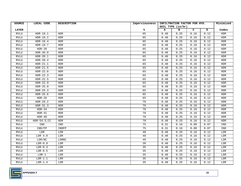| SOURCE       | LOCAL CODE         | <b>DESCRIPTION</b> | Imperviousness | INFILTRATION FACTOR FOR HYD. | Minimized |      |      |             |
|--------------|--------------------|--------------------|----------------|------------------------------|-----------|------|------|-------------|
|              |                    |                    |                | SOIL TYPE (in/hr)            |           |      |      |             |
| <b>LAYER</b> |                    |                    | ℁              | A                            | в         | C    | D    | Codes       |
| RVLU         | $HDR-19.1$         | <b>HDR</b>         | 65             | 0.48                         | 0.25      | 0.16 | 0.12 | ${\tt HDR}$ |
| <b>RVLU</b>  | $HDR-19.2$         | HDR                | 65             | 0.48                         | 0.25      | 0.16 | 0.12 | <b>HDR</b>  |
| <b>RVLU</b>  | $HDR-19.4$         | <b>HDR</b>         | 65             | 0.48                         | 0.25      | 0.16 | 0.12 | <b>HDR</b>  |
| <b>RVLU</b>  | $HDR-19.7$         | <b>HDR</b>         | 65             | 0.48                         | 0.25      | 0.16 | 0.12 | <b>HDR</b>  |
| RVLU         | $HDR-20$           | HDR                | 65             | 0.48                         | 0.25      | 0.16 | 0.12 | <b>HDR</b>  |
| <b>RVLU</b>  | $HDR-20.0$         | HDR                | 65             | 0.48                         | 0.25      | 0.16 | 0.12 | <b>HDR</b>  |
| <b>RVLU</b>  | $HDR-20.1$         | HDR                | 65             | 0.48                         | 0.25      | 0.16 | 0.12 | <b>HDR</b>  |
| ${\bf RVLU}$ | $HDR-20.4$         | HDR                | 65             | 0.48                         | 0.25      | 0.16 | 0.12 | ${\tt HDR}$ |
| <b>RVLU</b>  | $HDR-21.1$         | <b>HDR</b>         | 65             | 0.48                         | 0.25      | 0.16 | 0.12 | <b>HDR</b>  |
| <b>RVLU</b>  | $HDR-21.5$         | HDR                | 65             | 0.48                         | 0.25      | 0.16 | 0.12 | <b>HDR</b>  |
| <b>RVLU</b>  | $HDR-22.0$         | HDR                | 65             | 0.48                         | 0.25      | 0.16 | 0.12 | <b>HDR</b>  |
| <b>RVLU</b>  | $HDR-22.3$         | HDR                | 65             | 0.48                         | 0.25      | 0.16 | 0.12 | <b>HDR</b>  |
| <b>RVLU</b>  | $HDR-22.5$         | HDR                | 65             | 0.48                         | 0.25      | 0.16 | 0.12 | <b>HDR</b>  |
| ${\tt RVLU}$ | $HDR-22.9$         | HDR                | 65             | 0.48                         | 0.25      | 0.16 | 0.12 | <b>HDR</b>  |
| <b>RVLU</b>  | $HDR-25.0$         | HDR                | 65             | 0.48                         | 0.25      | 0.16 | 0.12 | <b>HDR</b>  |
| RVLU         | $HDR-25.3$         | HDR                | 65             | 0.48                         | 0.25      | 0.16 | 0.12 | <b>HDR</b>  |
| <b>RVLU</b>  | $HDR-25.6$         | HDR                | 65             | 0.48                         | 0.25      | 0.16 | 0.12 | <b>HDR</b>  |
| <b>RVLU</b>  | $HDR-26$           | HDR                | 65             | 0.48                         | 0.25      | 0.16 | 0.12 | <b>HDR</b>  |
| RVLU         | $HDR-29.2$         | HDR                | 70             | 0.48                         | 0.25      | 0.16 | 0.12 | <b>HDR</b>  |
| <b>RVLU</b>  | $HDR-31.3$         | HDR                | 70             | 0.48                         | 0.25      | 0.16 | 0.12 | <b>HDR</b>  |
| <b>RVLU</b>  | $HDR-34$           | HDR                | 70             | 0.48                         | 0.25      | 0.16 | 0.12 | <b>HDR</b>  |
| <b>RVLU</b>  | $HDR-41$           | <b>HDR</b>         | 70             | 0.48                         | 0.25      | 0.16 | 0.12 | <b>HDR</b>  |
| <b>RVLU</b>  | $HDR-48$           | <b>HDR</b>         | 70             | 0.48                         | 0.25      | 0.16 | 0.12 | <b>HDR</b>  |
| <b>RVLU</b>  | HDR-54.3, CC       | <b>HDR</b>         | 70             | 0.48                         | 0.25      | 0.16 | 0.12 | <b>HDR</b>  |
| <b>RVLU</b>  | IND                | IND                | 75             | 0.31                         | 0.16      | 0.09 | 0.07 | IND         |
| <b>RVLU</b>  | IND/FP             | INDFP              | 75             | 0.31                         | 0.16      | 0.09 | 0.07 | IND         |
| RVLU         | LDR                | LDR                | 40             | $\overline{0}$ . 48          | 0.25      | 0.16 | 0.12 | LDR         |
| <b>RVLU</b>  | LDR <sub>4.0</sub> | LDR                | 40             | 0.48                         | 0.25      | 0.16 | 0.12 | LDR         |
| <b>RVLU</b>  | LDR/NC             | LDRNC              | 40             | 0.48                         | 0.25      | 0.16 | 0.12 | LDR         |
| <b>RVLU</b>  | $LDR-0.0$          | LDR                | 30             | 0.48                         | 0.25      | 0.16 | 0.12 | LDR         |
| <b>RVLU</b>  | $LDR-0.3$          | LDR                | 35             | 0.48                         | 0.25      | 0.16 | 0.12 | LDR         |
| <b>RVLU</b>  | $LDR-0.5$          | LDR                | 35             | 0.48                         | 0.25      | 0.16 | 0.12 | LDR         |
| RVLU         | $LDR-1$            | LDR                | 35             | 0.48                         | 0.25      | 0.16 | 0.12 | LDR         |
| <b>RVLU</b>  | $LDR-1.1$          | LDR                | 35             | 0.48                         | 0.25      | 0.16 | 0.12 | LDR         |
| <b>RVLU</b>  | $LDR-1.4$          | LDR                | 35             | 0.48                         | 0.25      | 0.16 | 0.12 | LDR         |

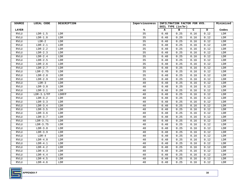| <b>SOURCE</b> | LOCAL CODE   | <b>DESCRIPTION</b> | Imperviousness  | INFILTRATION FACTOR FOR HYD. | Minimized |      |      |       |
|---------------|--------------|--------------------|-----------------|------------------------------|-----------|------|------|-------|
|               |              |                    |                 | SOIL TYPE (in/hr)            |           |      |      |       |
| <b>LAYER</b>  |              |                    | ℁               | A                            | в         | C    | D    | Codes |
| <b>RVLU</b>   | $LDR-1.5$    | LDR                | $\overline{35}$ | 0.48                         | 0.25      | 0.16 | 0.12 | LDR   |
| <b>RVLU</b>   | $LDR-1.8$    | LDR                | 35              | 0.48                         | 0.25      | 0.16 | 0.12 | LDR   |
| <b>RVLU</b>   | $LDR-2$      | LDR                | 35              | 0.48                         | 0.25      | 0.16 | 0.12 | LDR   |
| <b>RVLU</b>   | $LDR-2.1$    | LDR                | 35              | 0.48                         | 0.25      | 0.16 | 0.12 | LDR   |
| <b>RVLU</b>   | $LDR-2.2$    | LDR                | 35              | 0.48                         | 0.25      | 0.16 | 0.12 | LDR   |
| <b>RVLU</b>   | $LDR-2.3$    | LDR                | 35              | 0.48                         | 0.25      | 0.16 | 0.12 | LDR   |
| <b>RVLU</b>   | $LDR-2.4$    | LDR                | 35              | 0.48                         | 0.25      | 0.16 | 0.12 | LDR   |
| <b>RVLU</b>   | $LDR-2.5$    | LDR                | 35              | 0.48                         | 0.25      | 0.16 | 0.12 | LDR   |
| <b>RVLU</b>   | $LDR-2.6$    | LDR                | 35              | 0.48                         | 0.25      | 0.16 | 0.12 | LDR   |
| <b>RVLU</b>   | $LDR-2.7$    | LDR                | 35              | 0.48                         | 0.25      | 0.16 | 0.12 | LDR   |
| <b>RVLU</b>   | $LDR-2.75$   | LDR                | 35              | 0.48                         | 0.25      | 0.16 | 0.12 | LDR   |
| <b>RVLU</b>   | $LDR-2.8$    | LDR                | 35              | 0.48                         | 0.25      | 0.16 | 0.12 | LDR   |
| <b>RVLU</b>   | $LDR-2.9$    | LDR                | 35              | 0.48                         | 0.25      | 0.16 | 0.12 | LDR   |
| <b>RVLU</b>   | $LDR-3$      | <b>LDR</b>         | 40              | 0.48                         | 0.25      | 0.16 | 0.12 | LDR   |
| <b>RVLU</b>   | $LDR-3.0$    | LDR                | 40              | 0.48                         | 0.25      | 0.16 | 0.12 | LDR   |
| <b>RVLU</b>   | $LDR-3.1$    | LDR                | 40              | 0.48                         | 0.25      | 0.16 | 0.12 | LDR   |
| <b>RVLU</b>   | $LDR-3.1/FP$ | LDRFP              | 40              | 0.48                         | 0.25      | 0.16 | 0.12 | LDR   |
| <b>RVLU</b>   | $LDR-3.2$    | LDR                | 40              | 0.48                         | 0.25      | 0.16 | 0.12 | LDR   |
| <b>RVLU</b>   | $LDR-3.3$    | LDR                | 40              | 0.48                         | 0.25      | 0.16 | 0.12 | LDR   |
| <b>RVLU</b>   | $LDR-3.4$    | LDR                | 40              | 0.48                         | 0.25      | 0.16 | 0.12 | LDR   |
| <b>RVLU</b>   | $LDR-3.5$    | LDR                | 40              | 0.48                         | 0.25      | 0.16 | 0.12 | LDR   |
| <b>RVLU</b>   | $LDR-3.6$    | LDR                | 40              | 0.48                         | 0.25      | 0.16 | 0.12 | LDR   |
| <b>RVLU</b>   | $LDR-3.7$    | LDR                | 40              | 0.48                         | 0.25      | 0.16 | 0.12 | LDR   |
| <b>RVLU</b>   | $LDR-3.71$   | LDR                | 40              | 0.48                         | 0.25      | 0.16 | 0.12 | LDR   |
| <b>RVLU</b>   | $LDR-3.75$   | LDR                | 40              | 0.48                         | 0.25      | 0.16 | 0.12 | LDR   |
| <b>RVLU</b>   | $LDR-3.8$    | LDR                | 40              | 0.48                         | 0.25      | 0.16 | 0.12 | LDR   |
| <b>RVLU</b>   | $LDR-3.9$    | LDR                | 40              | 0.48                         | 0.25      | 0.16 | 0.12 | LDR   |
| <b>RVLU</b>   | $LDR-4$      | LDR                | 40              | 0.48                         | 0.25      | 0.16 | 0.12 | LDR   |
| <b>RVLU</b>   | $LDR-4.0$    | LDR                | 40              | 0.48                         | 0.25      | 0.16 | 0.12 | LDR   |
| <b>RVLU</b>   | $LDR-4.1$    | LDR                | 40              | 0.48                         | 0.25      | 0.16 | 0.12 | LDR   |
| ${\tt RVLU}$  | $LDR-4.2$    | LDR                | 40              | 0.48                         | 0.25      | 0.16 | 0.12 | LDR   |
| <b>RVLU</b>   | $LDR-4.3$    | LDR                | 40              | 0.48                         | 0.25      | 0.16 | 0.12 | LDR   |
| <b>RVLU</b>   | $LDR-4.4$    | LDR                | 40              | 0.48                         | 0.25      | 0.16 | 0.12 | LDR   |
| <b>RVLU</b>   | $LDR-4.5$    | LDR                | 40              | 0.48                         | 0.25      | 0.16 | 0.12 | LDR   |
| ${\tt RVLU}$  | $LDR-4.6$    | LDR                | 40              | 0.48                         | 0.25      | 0.16 | 0.12 | LDR   |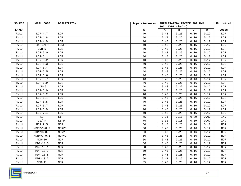| SOURCE       | LOCAL CODE                | <b>DESCRIPTION</b> | Imperviousness | INFILTRATION FACTOR FOR HYD. | Minimized |      |      |             |
|--------------|---------------------------|--------------------|----------------|------------------------------|-----------|------|------|-------------|
|              |                           |                    |                | SOIL TYPE (in/hr)            |           |      |      |             |
| <b>LAYER</b> |                           |                    | ℁              | A                            | в         | C    | D    | Codes       |
| <b>RVLU</b>  | $LDR-4.7$                 | LDR                | 40             | 0.48                         | 0.25      | 0.16 | 0.12 | ${\rm LDR}$ |
| RVLU         | $LDR-4.8$                 | LDR                | 40             | 0.48                         | 0.25      | 0.16 | 0.12 | ${\rm LDR}$ |
| <b>RVLU</b>  | $LDR-4.9$                 | LDR                | 40             | 0.48                         | 0.25      | 0.16 | 0.12 | LDR         |
| <b>RVLU</b>  | $LDR-4/FP$                | LDRFP              | 40             | 0.48                         | 0.25      | 0.16 | 0.12 | LDR         |
| RVLU         | $LDR-5$                   | LDR                | $40$           | 0.48                         | 0.25      | 0.16 | 0.12 | LDR         |
| <b>RVLU</b>  | $LDR-5.0$                 | LDR                | 40             | 0.48                         | 0.25      | 0.16 | 0.12 | LDR         |
| RVLU         | $LDR-5.1$                 | LDR                | 40             | 0.48                         | 0.25      | 0.16 | 0.12 | ${\rm LDR}$ |
| ${\bf RVLU}$ | $LDR-5.2$                 | LDR                | 40             | 0.48                         | 0.25      | 0.16 | 0.12 | ${\rm LDR}$ |
| <b>RVLU</b>  | $LDR-5.3$                 | LDR                | 40             | 0.48                         | 0.25      | 0.16 | 0.12 | LDR         |
| <b>RVLU</b>  | $LDR-5.4$                 | LDR                | 40             | 0.48                         | 0.25      | 0.16 | 0.12 | LDR         |
| ${\tt RVLU}$ | $LDR-5.5$                 | LDR                | 40             | 0.48                         | 0.25      | 0.16 | 0.12 | LDR         |
| <b>RVLU</b>  | $LDR-5.6$                 | LDR                | 40             | 0.48                         | 0.25      | 0.16 | 0.12 | LDR         |
| <b>RVLU</b>  | $LDR-5.7$                 | LDR                | 40             | 0.48                         | 0.25      | 0.16 | 0.12 | LDR         |
| <b>RVLU</b>  | $LDR-5.9$                 | LDR                | 40             | 0.48                         | 0.25      | 0.16 | 0.12 | LDR         |
| <b>RVLU</b>  | $LDR-6$                   | LDR                | 40             | 0.48                         | 0.25      | 0.16 | 0.12 | ${\rm LDR}$ |
| <b>RVLU</b>  | $LDR-6.0$                 | LDR                | 40             | 0.48                         | 0.25      | 0.16 | 0.12 | LDR         |
| <b>RVLU</b>  | $LDR-6.2$                 | LDR                | 40             | 0.48                         | 0.25      | 0.16 | 0.12 | LDR         |
| <b>RVLU</b>  | $LDR-6.4$                 | LDR                | 40             | 0.48                         | 0.25      | 0.16 | 0.12 | LDR         |
| RVLU         | $LDR-6.5$                 | LDR                | 40             | 0.48                         | 0.25      | 0.16 | 0.12 | LDR         |
| <b>RVLU</b>  | $LDR-6.7$                 | LDR                | 40             | 0.48                         | 0.25      | 0.16 | 0.12 | LDR         |
| <b>RVLU</b>  | $LDR-6.9$                 | LDR                | 40             | 0.48                         | 0.25      | 0.16 | 0.12 | LDR         |
| <b>RVLU</b>  | $LDR-7.4$                 | LDR                | 40             | 0.48                         | 0.25      | 0.16 | 0.12 | LDR         |
| <b>RVLU</b>  | $\mathbb{L}\, \mathbb{I}$ | LI                 | 75             | 0.31                         | 0.16      | 0.09 | 0.07 | IND         |
| <b>RVLU</b>  | LI/FP                     | LIFP               | 75             | 0.31                         | 0.16      | 0.09 | 0.07 | IND         |
| <b>RVLU</b>  | MDR 9.5                   | MDR                | 50             | 0.48                         | 0.25      | 0.16 | 0.12 | <b>MDR</b>  |
| <b>RVLU</b>  | $MDR/VC-8.2$              | MDRVC              | 50             | 0.48                         | 0.25      | 0.16 | 0.12 | <b>MDR</b>  |
| <b>RVLU</b>  | $MDR/VC-8.3$              | MDRVC              | 50             | 0.48                         | 0.25      | 0.16 | 0.12 | <b>MDR</b>  |
| RVLU         | $MDR/VC-9.1$              | MDRVC              | 50             | 0.48                         | 0.25      | 0.16 | 0.12 | <b>MDR</b>  |
| <b>RVLU</b>  | $MDR-10$                  | MDR                | 50             | 0.48                         | 0.25      | 0.16 | 0.12 | <b>MDR</b>  |
| <b>RVLU</b>  | $MDR-10.0$                | <b>MDR</b>         | 50             | 0.48                         | 0.25      | 0.16 | 0.12 | <b>MDR</b>  |
| <b>RVLU</b>  | $MDR-10.1$                | <b>MDR</b>         | 50             | 0.48                         | 0.25      | 0.16 | 0.12 | <b>MDR</b>  |
| <b>RVLU</b>  | $MDR-10.2$                | <b>MDR</b>         | 50             | 0.48                         | 0.25      | 0.16 | 0.12 | <b>MDR</b>  |
| <b>RVLU</b>  | $MDR-10.5$                | MDR                | 50             | 0.48                         | 0.25      | 0.16 | 0.12 | <b>MDR</b>  |
| <b>RVLU</b>  | $MDR-10.7$                | <b>MDR</b>         | 50             | 0.48                         | 0.25      | 0.16 | 0.12 | <b>MDR</b>  |
| ${\tt RVLU}$ | $MDR-11$                  | <b>MDR</b>         | 55             | 0.48                         | 0.25      | 0.16 | 0.12 | <b>MDR</b>  |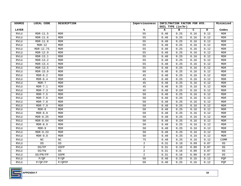| SOURCE       | LOCAL CODE           | <b>DESCRIPTION</b> | Imperviousness | INFILTRATION FACTOR FOR HYD. | Minimized |      |      |            |
|--------------|----------------------|--------------------|----------------|------------------------------|-----------|------|------|------------|
|              |                      |                    |                | SOIL TYPE (in/hr)            |           |      |      |            |
| <b>LAYER</b> |                      |                    | ℁              | A                            | в         | C    | D    | Codes      |
| <b>RVLU</b>  | $MDR-11.5$           | <b>MDR</b>         | 55             | 0.48                         | 0.25      | 0.16 | 0.12 | MDR        |
| <b>RVLU</b>  | $MDR-11.6$           | MDR                | 55             | 0.48                         | 0.25      | 0.16 | 0.12 | <b>MDR</b> |
| <b>RVLU</b>  | $MDR-11.8$           | <b>MDR</b>         | 55             | 0.48                         | 0.25      | 0.16 | 0.12 | <b>MDR</b> |
| <b>RVLU</b>  | $MDR-12$             | MDR                | 55             | 0.48                         | 0.25      | 0.16 | 0.12 | <b>MDR</b> |
| <b>RVLU</b>  | MDR-12.75            | <b>MDR</b>         | 55             | 0.48                         | 0.25      | 0.16 | 0.12 | <b>MDR</b> |
| <b>RVLU</b>  | $MDR-12.9$           | MDR                | 55             | 0.48                         | 0.25      | 0.16 | 0.12 | <b>MDR</b> |
| <b>RVLU</b>  | $MDR-13.1$           | MDR                | 55             | 0.48                         | 0.25      | 0.16 | 0.12 | <b>MDR</b> |
| <b>RVLU</b>  | $MDR-13.2$           | MDR                | 55             | 0.48                         | 0.25      | 0.16 | 0.12 | <b>MDR</b> |
| <b>RVLU</b>  | $MDR-13.4$           | MDR                | 55             | 0.48                         | 0.25      | 0.16 | 0.12 | <b>MDR</b> |
| RVLU         | $MDR-13.5$           | MDR                | 55             | 0.48                         | 0.25      | 0.16 | 0.12 | <b>MDR</b> |
| <b>RVLU</b>  | $MDR-15.0$           | <b>MDR</b>         | 60             | 0.48                         | 0.25      | 0.16 | 0.12 | <b>MDR</b> |
| <b>RVLU</b>  | $MDR-6.2$            | <b>MDR</b>         | 45             | 0.48                         | 0.25      | 0.16 | 0.12 | <b>MDR</b> |
| <b>RVLU</b>  | $MDR-6.\overline{4}$ | MDR                | 45             | 0.48                         | 0.25      | 0.16 | 0.12 | <b>MDR</b> |
| <b>RVLU</b>  | $MDR-7$              | <b>MDR</b>         | 45             | 0.48                         | 0.25      | 0.16 | 0.12 | <b>MDR</b> |
| ${\tt RVLU}$ | $MDR-7.1$            | MDR                | 45             | 0.48                         | 0.25      | 0.16 | 0.12 | <b>MDR</b> |
| <b>RVLU</b>  | $MDR-7.3$            | MDR                | 45             | 0.48                         | 0.25      | 0.16 | 0.12 | <b>MDR</b> |
| <b>RVLU</b>  | $MDR-7.5$            | MDR                | 50             | 0.48                         | 0.25      | 0.16 | 0.12 | <b>MDR</b> |
| <b>RVLU</b>  | $MDR-7.6$            | MDR                | 50             | 0.48                         | 0.25      | 0.16 | 0.12 | MDR        |
| <b>RVLU</b>  | $MDR-7.8$            | <b>MDR</b>         | 50             | 0.48                         | 0.25      | 0.16 | 0.12 | <b>MDR</b> |
| RVLU         | $MDR-7.9$            | <b>MDR</b>         | 50             | 0.48                         | 0.25      | 0.16 | 0.12 | <b>MDR</b> |
| <b>RVLU</b>  | $MDR-8$              | MDR                | 50             | 0.48                         | 0.25      | 0.16 | 0.12 | <b>MDR</b> |
| <b>RVLU</b>  | $MDR-8.0$            | <b>MDR</b>         | 50             | 0.48                         | 0.25      | 0.16 | 0.12 | <b>MDR</b> |
| <b>RVLU</b>  | $MDR-8.25$           | MDR                | 50             | 0.48                         | 0.25      | 0.16 | 0.12 | <b>MDR</b> |
| <b>RVLU</b>  | $MDR-8.64$           | <b>MDR</b>         | 50             | 0.48                         | 0.25      | 0.16 | 0.12 | <b>MDR</b> |
| <b>RVLU</b>  | $MDR-8.9$            | MDR                | 50             | 0.48                         | 0.25      | 0.16 | 0.12 | <b>MDR</b> |
| <b>RVLU</b>  | $MDR-9$              | MDR                | 50             | 0.48                         | 0.25      | 0.16 | 0.12 | <b>MDR</b> |
| <b>RVLU</b>  | $MDR-9.23$           | <b>MDR</b>         | 50             | 0.48                         | 0.25      | 0.16 | 0.12 | <b>MDR</b> |
| RVLU         | $MDR-9.8$            | MDR                | 50             | 0.48                         | 0.25      | 0.16 | 0.12 | MDR        |
| <b>RVLU</b>  | $_{\mathrm{NC}}$     | $_{\mathrm{NC}}$   | 75             | 0.48                         | 0.25      | 0.16 | 0.12 | COMM       |
| <b>RVLU</b>  | 0S                   | OS                 | $\overline{a}$ | 0.31                         | 0.16      | 0.09 | 0.07 | OS         |
| RVLU         | OS/FP                | OSFP               | $\overline{2}$ | 0.31                         | 0.16      | 0.09 | 0.07 | 0S         |
| <b>RVLU</b>  | OS/FW                | 0S                 | $\overline{a}$ | 0.31                         | 0.16      | 0.09 | 0.07 | OS         |
| <b>RVLU</b>  | OS/PR/FP             | OSPR               | $\overline{a}$ | 0.31                         | 0.16      | 0.09 | 0.07 | 0S         |
| <b>RVLU</b>  | $P$ / QP             | $P$ / QP           | 50             | 0.48                         | 0.25      | 0.16 | 0.12 | PQP        |
| ${\bf RVLU}$ | P/QP/FP              | P/QPFP             | 50             | 0.48                         | 0.25      | 0.16 | 0.12 | PQP        |

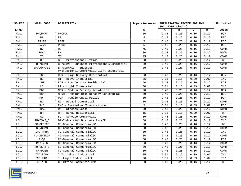| <b>SOURCE</b> | LOCAL CODE          | <b>DESCRIPTION</b>                                                | Imperviousness | INFILTRATION FACTOR FOR HYD. | Minimized |      |      |                                                  |
|---------------|---------------------|-------------------------------------------------------------------|----------------|------------------------------|-----------|------|------|--------------------------------------------------|
|               |                     |                                                                   |                | SOIL TYPE (in/hr)            |           |      |      |                                                  |
| <b>LAYER</b>  |                     |                                                                   | ℁              | А                            | в         | C    | D    | Codes                                            |
| <b>RVLU</b>   | P/QP/VC             | P/OPVC                                                            | 50             | 0.48                         | 0.25      | 0.16 | 0.12 | PQP                                              |
| <b>RVLU</b>   | PR                  | PR                                                                | 5              | 0.48                         | 0.25      | 0.16 | 0.12 | <b>REC</b>                                       |
| <b>RVLU</b>   | PR/FP               | PRFP                                                              | 5              | 0.48                         | 0.25      | 0.16 | 0.12 | $\mathop{\mathtt{REC}}$                          |
| <b>RVLU</b>   | PR/VC               | PRVC                                                              | 5              | 0.48                         | 0.25      | 0.16 | 0.12 | <b>REC</b>                                       |
| RVLU          | RC                  | RC                                                                | 75             | 0.48                         | 0.25      | 0.16 | 0.12 | COMM                                             |
| <b>RVLU</b>   | ROAD                | RW                                                                | 80             | 0.48                         | 0.25      | 0.16 | 0.12 | <b>ROAD</b>                                      |
| <b>RVLU</b>   | TS                  | TS                                                                | 75             | 0.48                         | 0.25      | 0.16 | 0.12 | COMM                                             |
| <b>RKLU</b>   | BP                  | BP - Professional Office                                          | 80             | 0.48                         | 0.25      | 0.16 | 0.12 | BP                                               |
| <b>RKLU</b>   | BP/COMM             | BP/COMM - Business Professional/Commercial                        | 80             | 0.48                         | 0.25      | 0.16 | 0.12 | COMM                                             |
| RKLU          | BP/COMM/LI          | BP/COMM/LI - Business<br>Professional/Commercial/Light Industrial | 80             | 0.48                         | 0.25      | 0.16 | 0.12 | COMM                                             |
| <b>RKLU</b>   | <b>HDR</b>          | HDR - High Density Residential                                    | 60             | 0.48                         | 0.25      | 0.16 | 0.12 | <b>HDR</b>                                       |
| <b>RKLU</b>   | HI                  | HI - Heavy Industrial                                             | 85             | 0.31                         | 0.16      | 0.09 | 0.07 | <b>IND</b>                                       |
| <b>RKLU</b>   | LDR                 | LDR - Low Density Residential                                     | 40             | 0.48                         | 0.25      | 0.16 | 0.12 | LDR                                              |
| RKLU          | LI                  | LI - Light Industrial                                             | 80             | 0.31                         | 0.16      | 0.09 | 0.07 | IND                                              |
| <b>RKLU</b>   | <b>MDR</b>          | MDR - Medium Density Residetial                                   | 50             | 0.48                         | 0.25      | 0.16 | 0.12 | <b>MDR</b>                                       |
| <b>RKLU</b>   | MHDR                | MHDR - Medium-High Density Residential                            | 60             | 0.48                         | 0.25      | 0.16 | 0.12 | <b>HDR</b>                                       |
| <b>RKLU</b>   | PQP                 | PQP - Public-Quasi Public                                         | 50             | 0.48                         | 0.25      | 0.16 | 0.12 | PQP                                              |
| <b>RKLU</b>   | RC                  | RC - Retail Commercial                                            | 80             | 0.48                         | 0.25      | 0.16 | 0.12 | COMM                                             |
| <b>RKLU</b>   | $R - C$             | R-C - Recreation/Conservation                                     | 5              | 0.31                         | 0.16      | 0.09 | 0.07 | <b>REC</b>                                       |
| RKLU          | <b>ROAD</b>         | RW - Streets/Roads                                                | 90             | 0.48                         | 0.25      | 0.16 | 0.12 | <b>ROAD</b>                                      |
| <b>RKLU</b>   | RR                  | RR - Rural Residential                                            | 15             | 0.31                         | 0.16      | 0.09 | 0.07 | $\ensuremath{\mathbb{R}}\ensuremath{\mathbb{R}}$ |
| <b>RKLU</b>   | $\operatorname{SC}$ | SC - Service Commercial                                           | 80             | 0.48                         | 0.25      | 0.16 | 0.12 | COMM                                             |
| LOLU          | $RU-ES-2$ 3         | BP-Industrial Business ParkBP                                     | 80             | 0.48                         | 0.25      | 0.16 | 0.12 | IND                                              |
| LOLU          | GC-OFFICE           | CG-General CommercialGC                                           | 80             | 0.48                         | 0.25      | 0.16 | 0.12 | BP                                               |
| LOLU          | GENCOMM             | CG-General CommercialGC                                           | 80             | 0.48                         | 0.25      | 0.16 | 0.12 | COMM                                             |
| LOLU          | IND-PARK            | CG-General CommercialGC                                           | 80             | 0.48                         | 0.25      | 0.16 | 0.12 | <b>IND</b>                                       |
| LOLU          | PL-DEVELOP          | CG-General CommercialGC                                           | 80             | 0.48                         | 0.25      | 0.16 | 0.12 | COMM                                             |
| LOLU          | $P-OP$              | CG-General CommercialGC                                           | 80             | 0.48                         | 0.25      | 0.16 | 0.12 | PQP                                              |
| LOLU          | $RMD-2$ 6           | CG-General CommercialGC                                           | 80             | 0.48                         | 0.25      | 0.16 | 0.12 | COMM                                             |
| <b>LOLU</b>   | $RU-ES-2-3$         | CG-General CommercialGC                                           | 80             | 0.48                         | 0.25      | 0.16 | 0.12 | COMM                                             |
| LOLU          | SHPPCEN             | CG-General CommercialGC                                           | 80             | 0.48                         | 0.25      | 0.16 | 0.12 | COMM                                             |
| LOLU          | IND-PARK            | ILT-Limited Industrial                                            | 85             | 0.31                         | 0.16      | 0.09 | 0.07 | <b>IND</b>                                       |
| LOLU          | IND-PARK            | IL-Light IndustrialIL                                             | 80             | 0.31                         | 0.16      | 0.09 | 0.07 | IND                                              |
| LOLU          | $GC-NHC$            | CO-Office CommercialO/P                                           | 80             | 0.48                         | 0.25      | 0.16 | 0.12 | <b>BP</b>                                        |

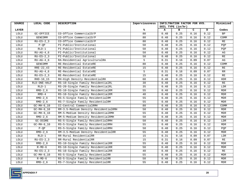| <b>SOURCE</b> | LOCAL CODE                   | <b>DESCRIPTION</b>                   | Imperviousness  | INFILTRATION FACTOR FOR HYD. |                   |      |      | Minimized                   |
|---------------|------------------------------|--------------------------------------|-----------------|------------------------------|-------------------|------|------|-----------------------------|
|               |                              |                                      |                 |                              | SOIL TYPE (in/hr) |      |      |                             |
| <b>LAYER</b>  |                              |                                      | ℁               | A                            | в                 | c    | D    | Codes                       |
| LOLU          | GC-OFFICE                    | CO-Office CommercialO/P              | 80              | 0.48                         | 0.25              | 0.16 | 0.12 | <b>BP</b>                   |
| LOLU          | GENCOMM                      | CO-Office CommercialO/P              | 80              | 0.48                         | 0.25              | 0.16 | 0.12 | COMM                        |
| LOLU          | $RU-ES-2$ _3                 | CO-Office CommercialO/P              | 80              | 0.48                         | 0.25              | 0.16 | 0.12 | $\mathbb{RE}$               |
| LOLU          | $P-QP$                       | PI-Public/Institutional              | 50              | 0.48                         | 0.25              | 0.16 | 0.12 | PQP                         |
| LOLU          | $RLD-1$                      | PI-Public/Institutional              | 50              | 0.48                         | 0.25              | 0.16 | 0.12 | PQP                         |
| LOLU          | RU-AG-4 6                    | PI-Public/Institutional              | 50              | 0.48                         | 0.25              | 0.16 | 0.12 | AG                          |
| LOLU          | $RU-ES-2$ 3                  | PI-Public/Institutional              | 50              | 0.48                         | 0.25              | 0.16 | 0.12 | $\mathbb{RE}$               |
| LOLU          | $RU-AG-4_6$                  | RA-Residential AgriculturalRA        | 5               | 0.31                         | 0.16              | 0.09 | 0.07 | AG                          |
| LOLU          | GENCOMM                      | RE-Residential EstateRE              | 80              | 0.48                         | 0.25              | 0.16 | 0.12 | COMM                        |
| LOLU          | RRE-22_43                    | RE-Residential EstateRE              | 15              | 0.48                         | 0.25              | 0.16 | 0.12 | $\mathbb{RE}$               |
| LOLU          | $RU-AG-4_6$                  | RE-Residential EstateRE              | 5               | 0.31                         | 0.16              | 0.09 | 0.07 | RR                          |
| LOLU          | $RU-ES-2-3$                  | RE-Residential EstateRE              | $\overline{15}$ | 0.48                         | 0.25              | 0.16 | 0.12 | $\overline{\text{RE}}$      |
| LOLU          | RHD-10 15                    | RH-High Density ResidentialRH        | 60              | 0.48                         | 0.25              | 0.16 | 0.12 | <b>HDR</b>                  |
| $_{\rm LOLU}$ | RLD-ONE-HALF                 | RS-10-Single Family ResidentialRL    | 30              | 0.48                         | 0.25              | 0.16 | 0.12 | $\mathbb{RE}$               |
| LOLU          | $RLD-1$                      | RS-20-Single Family ResidentialRL    | 35              | 0.48                         | 0.25              | 0.16 | 0.12 | LDR                         |
| LOLU          | $RMD-2_6$                    | RS-10-Single Family ResidentialRM    | 55              | 0.48                         | 0.25              | 0.16 | 0.12 | <b>MDR</b>                  |
| LOLU          | $RMD-4$                      | RS-10-Single Family ResidentialRM    | 40              | 0.48                         | 0.25              | 0.16 | 0.12 | $\ensuremath{\mathsf{MDR}}$ |
| LOLU          | $RMD-2$ 6                    | RS-5-Single Family ResidentialRM     | 55              | 0.48                         | 0.25              | 0.16 | 0.12 | <b>MDR</b>                  |
| LOLU          | $RMD-2_6$                    | RS-7-Single Family ResidentialRM     | 55              | 0.48                         | 0.25              | 0.16 | 0.12 | $\ensuremath{\mathsf{MDR}}$ |
| LOLU          | $GC-MH-6_10$                 | CC-Central CommercialRMH             | 80              | 0.48                         | 0.25              | 0.16 | 0.12 | COMM                        |
| LOLU          | $GC-MH-6_10$                 | RM-3.5-Medium Density ResidentialRMH | 50              | 0.48                         | 0.25              | 0.16 | 0.12 | $\ensuremath{\mathsf{MDR}}$ |
| LOLU          | $\overline{GC}$ -MH- $6\_10$ | RM-5-Medium Density ResidentialRMH   | 55              | 0.48                         | 0.25              | 0.16 | 0.12 | <b>MDR</b>                  |
| LOLU          | $RMD-2_6$                    | RM-5-Medium Density ResidentialRMH   | 50              | 0.48                         | 0.25              | 0.16 | 0.12 | <b>MDR</b>                  |
| LOLU          | GC-DCORE                     | RS-5-Single Family ResidentialRMH    | 50              | 0.48                         | 0.25              | 0.16 | 0.12 | LDR                         |
| LOLU          | $GC-MH-6_10$                 | RS-5-Single Family ResidentialRMH    | 55              | 0.48                         | 0.25              | 0.16 | 0.12 | <b>MDR</b>                  |
| LOLU          | $P-QP$                       | RS-5-Single Family ResidentialRMH    | 50              | 0.48                         | 0.25              | 0.16 | 0.12 | PQP                         |
| LOLU          | $RMD-2$ 6                    | RM-3.5-Medium Density ResidentialRR  | 55              | 0.48                         | 0.25              | 0.16 | 0.12 | <b>MDR</b>                  |
| LOLU          | $RLD-1$                      | RR-Rural ResidentialRR               | 15              | 0.31                         | 0.16              | 0.09 | 0.07 | LDR                         |
| LOLU          | $RU-ES-2$ 3                  | RR-Rural ResidentialRR               | $15$            | 0.31                         | 0.16              | 0.09 | 0.07 | $\mathbb{RE}$               |
| LOLU          | $RMD-2$ 6                    | RS-10-Single Family ResidentialRR    | 55              | 0.48                         | 0.25              | 0.16 | 0.12 | <b>MDR</b>                  |
| LOLU          | $R-MD-6$                     | RS-10-Single Family ResidentialRR    | 50              | 0.48                         | 0.25              | 0.16 | 0.12 | <b>MDR</b>                  |
| LOLU          | $RU-ES-2-3$                  | RS-10-Single Family ResidentialRR    | 40              | 0.48                         | 0.25              | 0.16 | 0.12 | $\mathbb{RE}$               |
| LOLU          | $GC-MH-6_10$                 | RS-5-Single Family ResidentialRR     | 55              | 0.48                         | 0.25              | 0.16 | 0.12 | <b>MDR</b>                  |
| LOLU          | $R-MD-6$                     | RS-5-Single Family ResidentialRR     | 50              | 0.48                         | 0.25              | 0.16 | 0.12 | $\texttt{MDR}{}$            |
| LOLU          | $RMD-2_6$                    | RS-7-Single Family ResidentialRR     | 55              | 0.48                         | 0.25              | 0.16 | 0.12 | $\texttt{MDR}{}$            |